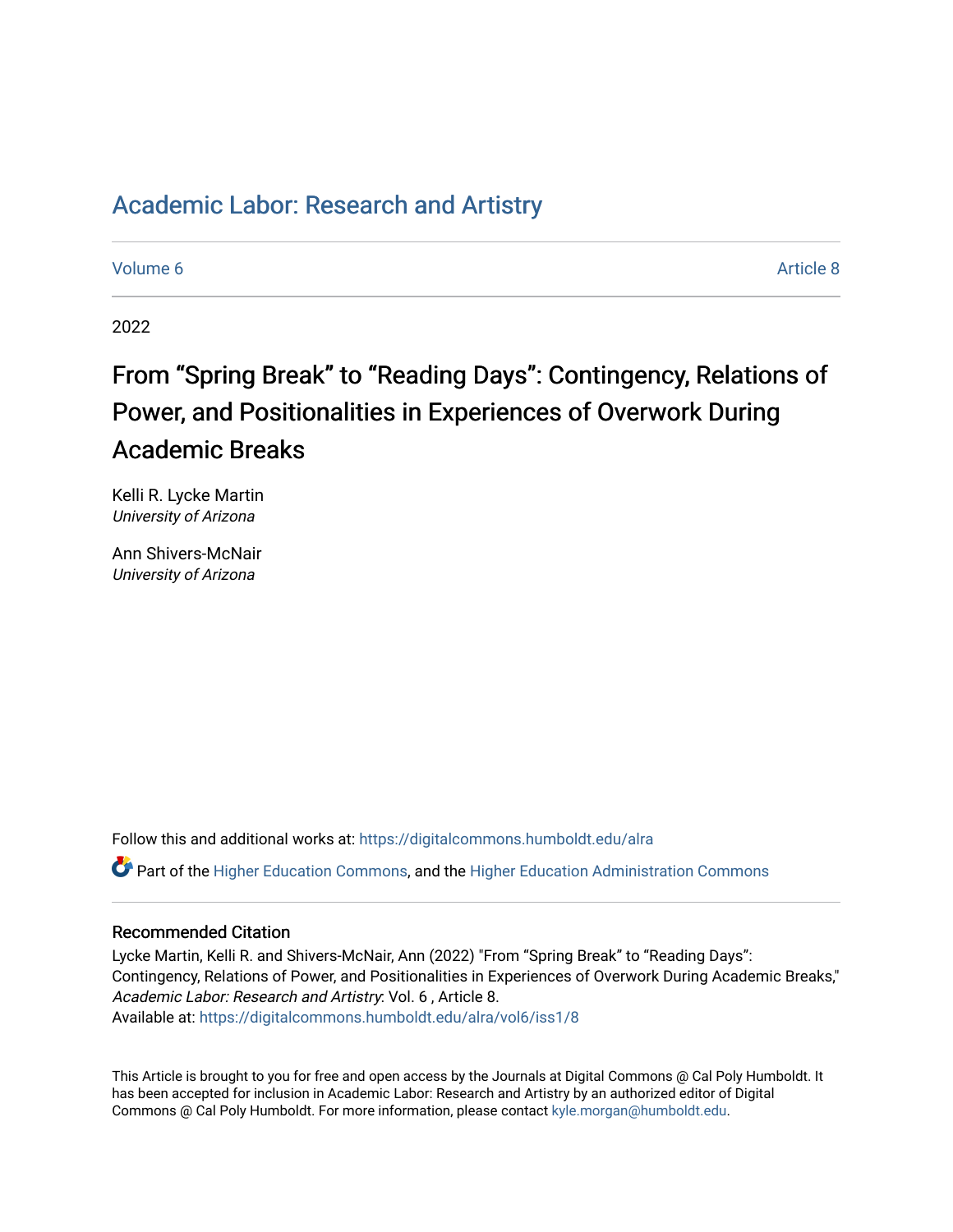# [Academic Labor: Research and Artistry](https://digitalcommons.humboldt.edu/alra)

[Volume 6](https://digitalcommons.humboldt.edu/alra/vol6) Article 8

2022

# From "Spring Break" to "Reading Days": Contingency, Relations of Power, and Positionalities in Experiences of Overwork During Academic Breaks

Kelli R. Lycke Martin University of Arizona

Ann Shivers-McNair University of Arizona

Follow this and additional works at: [https://digitalcommons.humboldt.edu/alra](https://digitalcommons.humboldt.edu/alra?utm_source=digitalcommons.humboldt.edu%2Falra%2Fvol6%2Fiss1%2F8&utm_medium=PDF&utm_campaign=PDFCoverPages)

Part of the [Higher Education Commons,](http://network.bepress.com/hgg/discipline/1245?utm_source=digitalcommons.humboldt.edu%2Falra%2Fvol6%2Fiss1%2F8&utm_medium=PDF&utm_campaign=PDFCoverPages) and the [Higher Education Administration Commons](http://network.bepress.com/hgg/discipline/791?utm_source=digitalcommons.humboldt.edu%2Falra%2Fvol6%2Fiss1%2F8&utm_medium=PDF&utm_campaign=PDFCoverPages) 

# Recommended Citation

Lycke Martin, Kelli R. and Shivers-McNair, Ann (2022) "From "Spring Break" to "Reading Days": Contingency, Relations of Power, and Positionalities in Experiences of Overwork During Academic Breaks," Academic Labor: Research and Artistry: Vol. 6 , Article 8. Available at: [https://digitalcommons.humboldt.edu/alra/vol6/iss1/8](https://digitalcommons.humboldt.edu/alra/vol6/iss1/8?utm_source=digitalcommons.humboldt.edu%2Falra%2Fvol6%2Fiss1%2F8&utm_medium=PDF&utm_campaign=PDFCoverPages)

This Article is brought to you for free and open access by the Journals at Digital Commons @ Cal Poly Humboldt. It has been accepted for inclusion in Academic Labor: Research and Artistry by an authorized editor of Digital Commons @ Cal Poly Humboldt. For more information, please contact [kyle.morgan@humboldt.edu](mailto:kyle.morgan@humboldt.edu).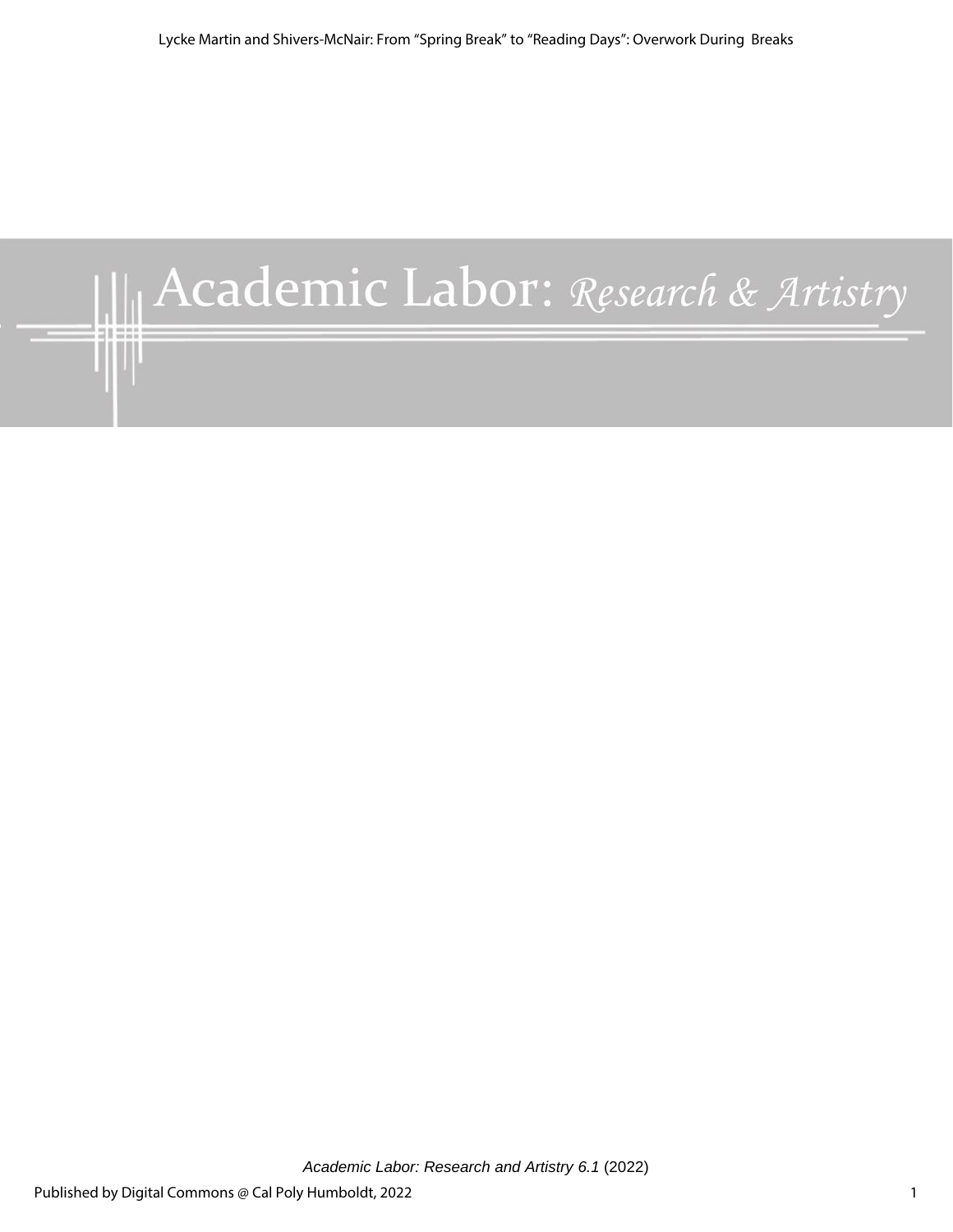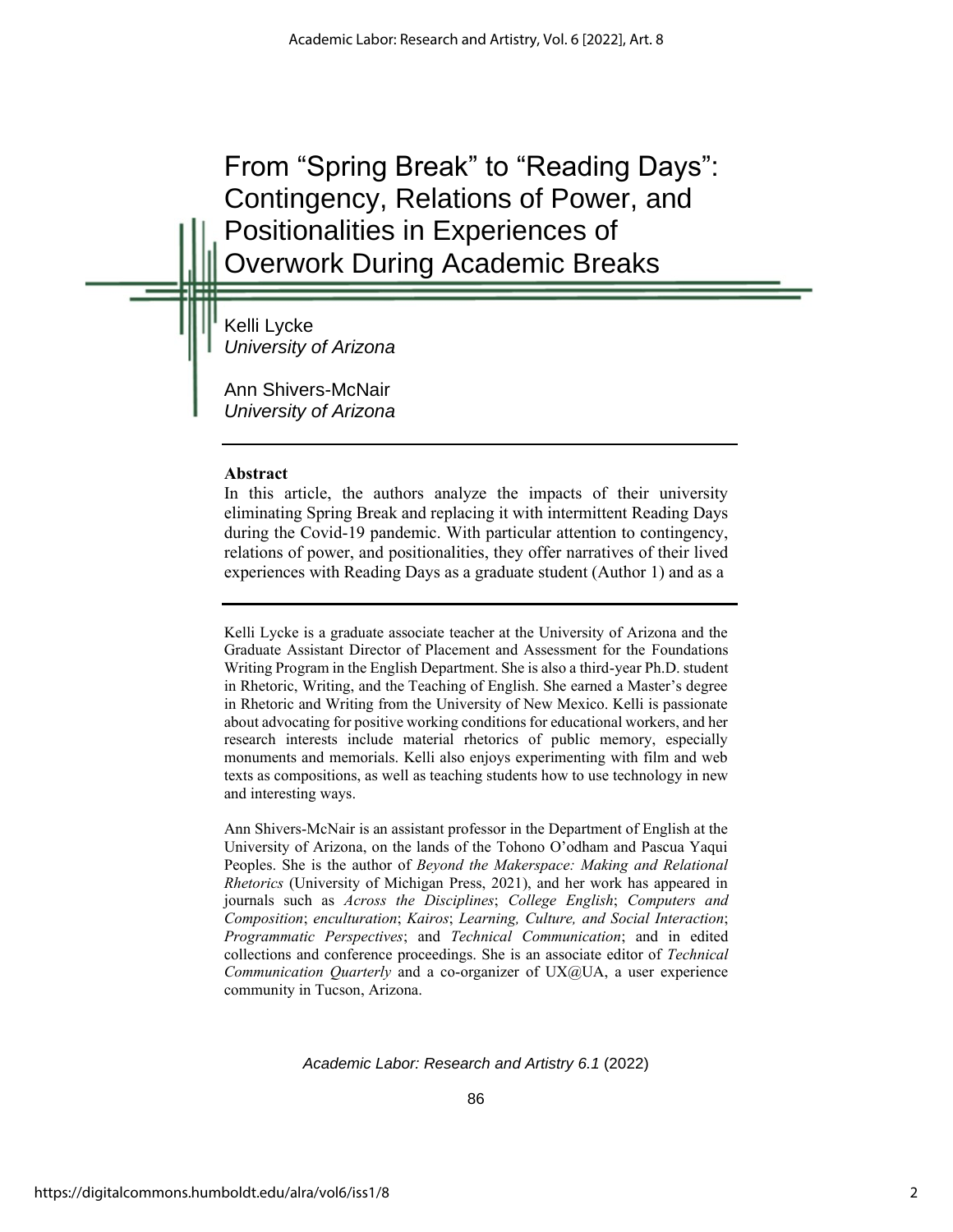From "Spring Break" to "Reading Days": Contingency, Relations of Power, and Positionalities in Experiences of Overwork During Academic Breaks

Kelli Lycke *University of Arizona*

Ann Shivers-McNair *University of Arizona*

# **Abstract**

In this article, the authors analyze the impacts of their university eliminating Spring Break and replacing it with intermittent Reading Days during the Covid-19 pandemic. With particular attention to contingency, relations of power, and positionalities, they offer narratives of their lived experiences with Reading Days as a graduate student (Author 1) and as a

Kelli Lycke is a graduate associate teacher at the University of Arizona and the Graduate Assistant Director of Placement and Assessment for the Foundations Writing Program in the English Department. She is also a third-year Ph.D. student in Rhetoric, Writing, and the Teaching of English. She earned a Master's degree in Rhetoric and Writing from the University of New Mexico. Kelli is passionate about advocating for positive working conditions for educational workers, and her research interests include material rhetorics of public memory, especially monuments and memorials. Kelli also enjoys experimenting with film and web texts as compositions, as well as teaching students how to use technology in new and interesting ways.

Ann Shivers-McNair is an assistant professor in the Department of English at the University of Arizona, on the lands of the Tohono O'odham and Pascua Yaqui Peoples. She is the author of *Beyond the Makerspace: Making and Relational Rhetorics* (University of Michigan Press, 2021), and her work has appeared in journals such as *Across the Disciplines*; *College English*; *Computers and Composition*; *enculturation*; *Kairos*; *Learning, Culture, and Social Interaction*; *Programmatic Perspectives*; and *Technical Communication*; and in edited collections and conference proceedings. She is an associate editor of *Technical Communication Quarterly* and a co-organizer of UX@UA, a user experience community in Tucson, Arizona.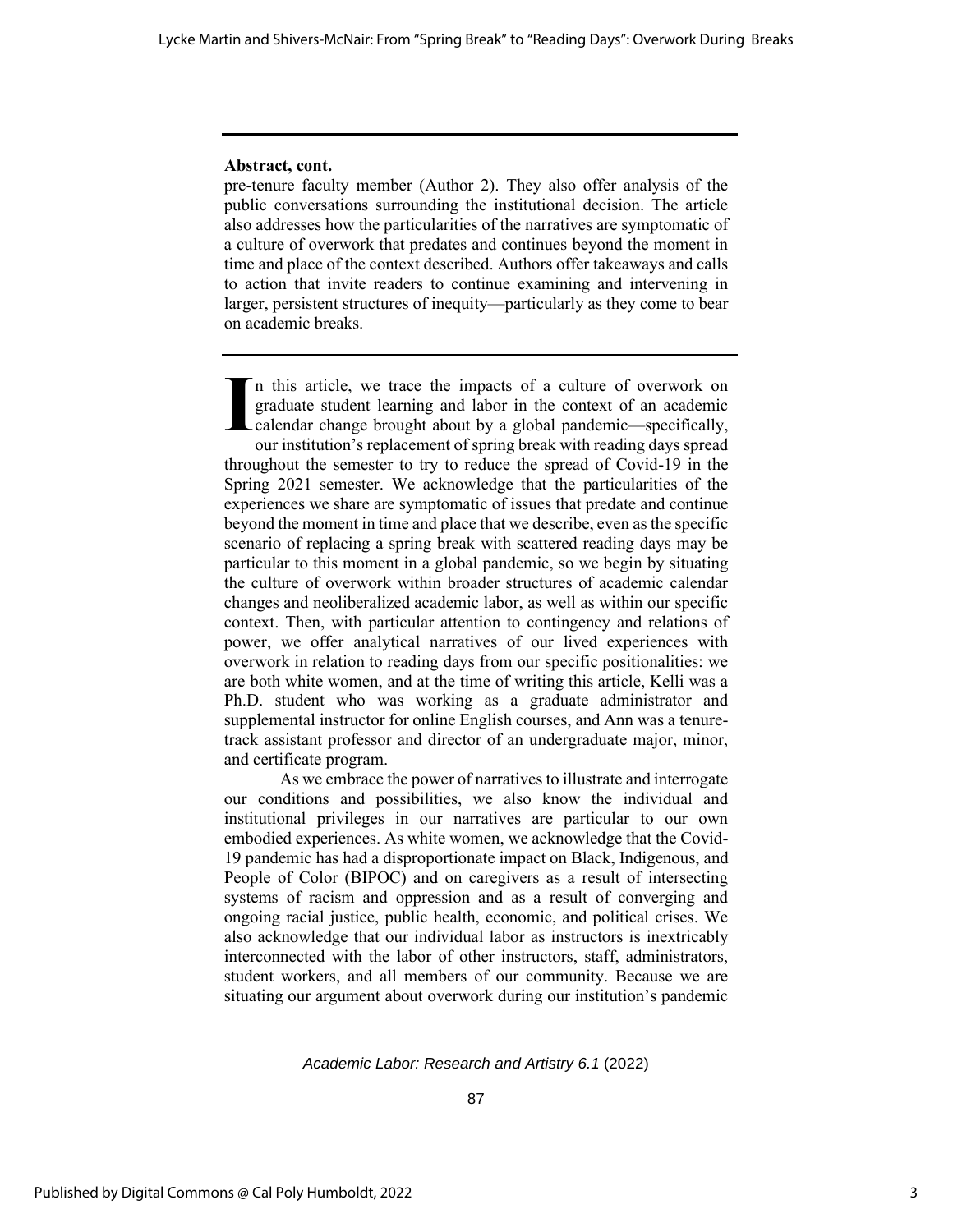#### **Abstract, cont.**

pre-tenure faculty member (Author 2). They also offer analysis of the public conversations surrounding the institutional decision. The article also addresses how the particularities of the narratives are symptomatic of a culture of overwork that predates and continues beyond the moment in time and place of the context described. Authors offer takeaways and calls to action that invite readers to continue examining and intervening in larger, persistent structures of inequity—particularly as they come to bear on academic breaks.

n this article, we trace the impacts of a culture of overwork on graduate student learning and labor in the context of an academic calendar change brought about by a global pandemic—specifically, our institution's replacement of spring break with reading days spread throughout the semester to try to reduce the spread of Covid-19 in the Spring 2021 semester. We acknowledge that the particularities of the experiences we share are symptomatic of issues that predate and continue beyond the moment in time and place that we describe, even as the specific scenario of replacing a spring break with scattered reading days may be particular to this moment in a global pandemic, so we begin by situating the culture of overwork within broader structures of academic calendar changes and neoliberalized academic labor, as well as within our specific context. Then, with particular attention to contingency and relations of power, we offer analytical narratives of our lived experiences with overwork in relation to reading days from our specific positionalities: we are both white women, and at the time of writing this article, Kelli was a Ph.D. student who was working as a graduate administrator and supplemental instructor for online English courses, and Ann was a tenuretrack assistant professor and director of an undergraduate major, minor, and certificate program. **I**

As we embrace the power of narratives to illustrate and interrogate our conditions and possibilities, we also know the individual and institutional privileges in our narratives are particular to our own embodied experiences. As white women, we acknowledge that the Covid-19 pandemic has had a disproportionate impact on Black, Indigenous, and People of Color (BIPOC) and on caregivers as a result of intersecting systems of racism and oppression and as a result of converging and ongoing racial justice, public health, economic, and political crises. We also acknowledge that our individual labor as instructors is inextricably interconnected with the labor of other instructors, staff, administrators, student workers, and all members of our community. Because we are situating our argument about overwork during our institution's pandemic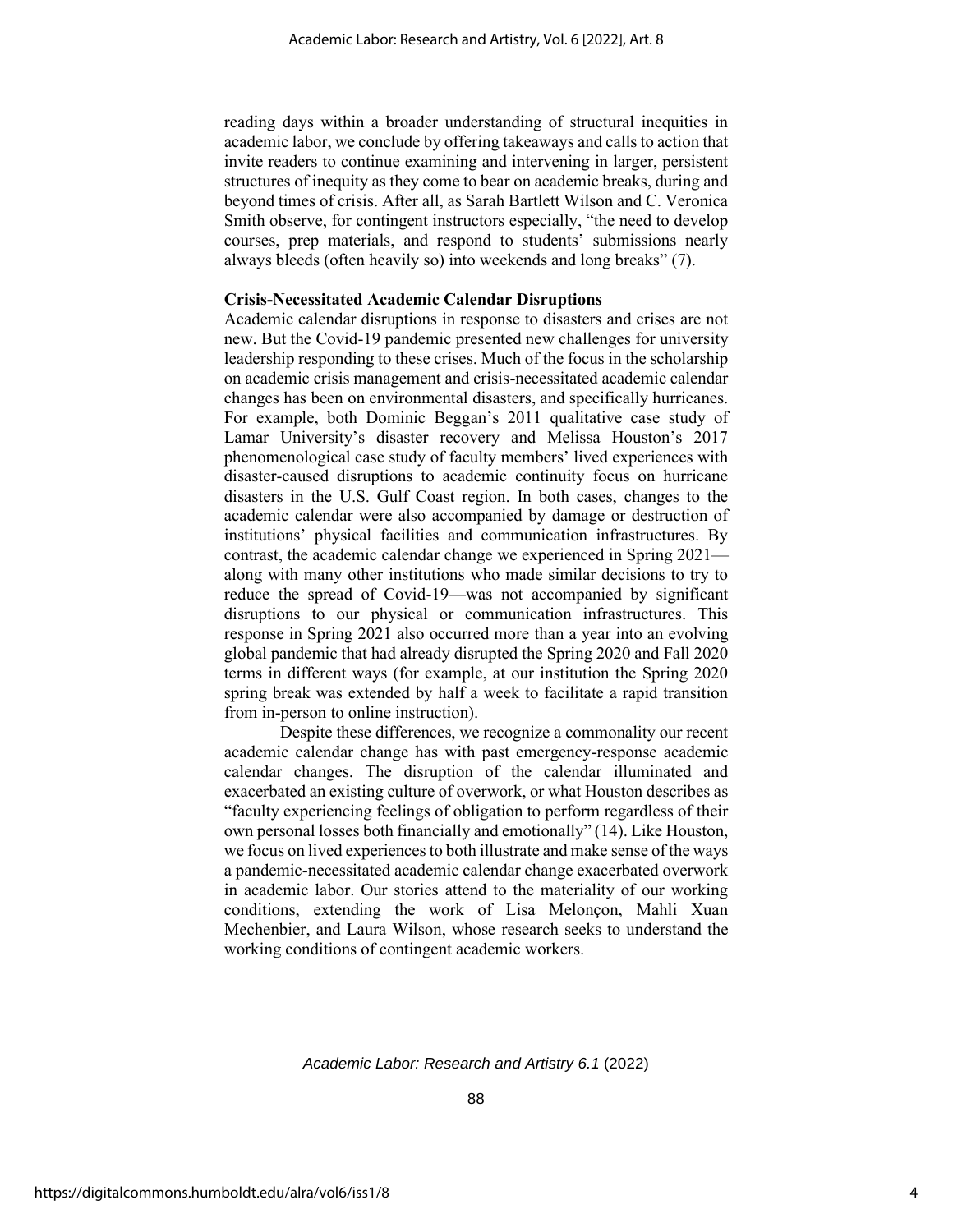reading days within a broader understanding of structural inequities in academic labor, we conclude by offering takeaways and calls to action that invite readers to continue examining and intervening in larger, persistent structures of inequity as they come to bear on academic breaks, during and beyond times of crisis. After all, as Sarah Bartlett Wilson and C. Veronica Smith observe, for contingent instructors especially, "the need to develop courses, prep materials, and respond to students' submissions nearly always bleeds (often heavily so) into weekends and long breaks" (7).

#### **Crisis-Necessitated Academic Calendar Disruptions**

Academic calendar disruptions in response to disasters and crises are not new. But the Covid-19 pandemic presented new challenges for university leadership responding to these crises. Much of the focus in the scholarship on academic crisis management and crisis-necessitated academic calendar changes has been on environmental disasters, and specifically hurricanes. For example, both Dominic Beggan's 2011 qualitative case study of Lamar University's disaster recovery and Melissa Houston's 2017 phenomenological case study of faculty members' lived experiences with disaster-caused disruptions to academic continuity focus on hurricane disasters in the U.S. Gulf Coast region. In both cases, changes to the academic calendar were also accompanied by damage or destruction of institutions' physical facilities and communication infrastructures. By contrast, the academic calendar change we experienced in Spring 2021 along with many other institutions who made similar decisions to try to reduce the spread of Covid-19—was not accompanied by significant disruptions to our physical or communication infrastructures. This response in Spring 2021 also occurred more than a year into an evolving global pandemic that had already disrupted the Spring 2020 and Fall 2020 terms in different ways (for example, at our institution the Spring 2020 spring break was extended by half a week to facilitate a rapid transition from in-person to online instruction).

Despite these differences, we recognize a commonality our recent academic calendar change has with past emergency-response academic calendar changes. The disruption of the calendar illuminated and exacerbated an existing culture of overwork, or what Houston describes as "faculty experiencing feelings of obligation to perform regardless of their own personal losses both financially and emotionally" (14). Like Houston, we focus on lived experiences to both illustrate and make sense of the ways a pandemic-necessitated academic calendar change exacerbated overwork in academic labor. Our stories attend to the materiality of our working conditions, extending the work of Lisa Melonçon, Mahli Xuan Mechenbier, and Laura Wilson, whose research seeks to understand the working conditions of contingent academic workers.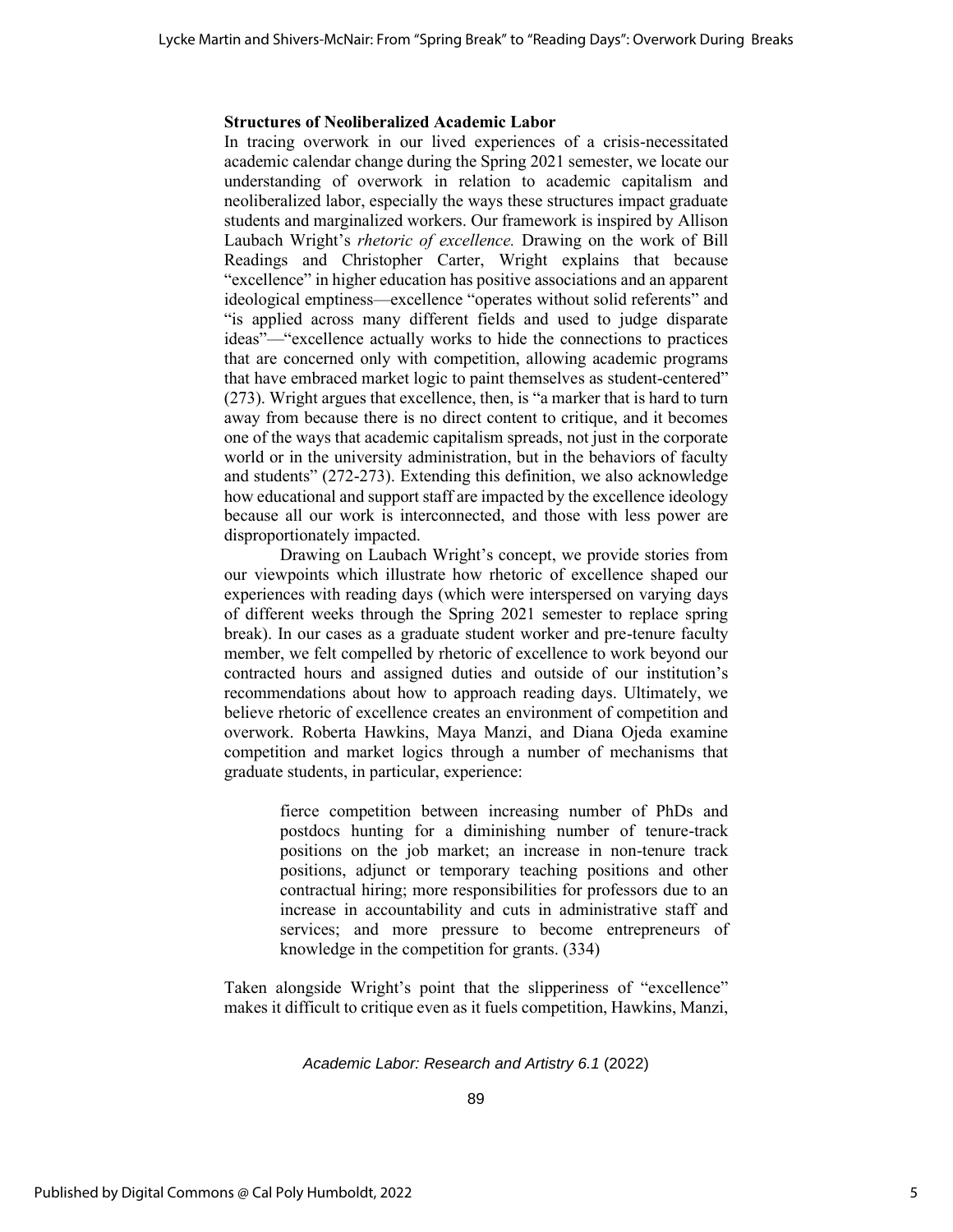# **Structures of Neoliberalized Academic Labor**

In tracing overwork in our lived experiences of a crisis-necessitated academic calendar change during the Spring 2021 semester, we locate our understanding of overwork in relation to academic capitalism and neoliberalized labor, especially the ways these structures impact graduate students and marginalized workers. Our framework is inspired by Allison Laubach Wright's *rhetoric of excellence.* Drawing on the work of Bill Readings and Christopher Carter, Wright explains that because "excellence" in higher education has positive associations and an apparent ideological emptiness—excellence "operates without solid referents" and "is applied across many different fields and used to judge disparate ideas"—"excellence actually works to hide the connections to practices that are concerned only with competition, allowing academic programs that have embraced market logic to paint themselves as student-centered" (273). Wright argues that excellence, then, is "a marker that is hard to turn away from because there is no direct content to critique, and it becomes one of the ways that academic capitalism spreads, not just in the corporate world or in the university administration, but in the behaviors of faculty and students" (272-273). Extending this definition, we also acknowledge how educational and support staff are impacted by the excellence ideology because all our work is interconnected, and those with less power are disproportionately impacted.

Drawing on Laubach Wright's concept, we provide stories from our viewpoints which illustrate how rhetoric of excellence shaped our experiences with reading days (which were interspersed on varying days of different weeks through the Spring 2021 semester to replace spring break). In our cases as a graduate student worker and pre-tenure faculty member, we felt compelled by rhetoric of excellence to work beyond our contracted hours and assigned duties and outside of our institution's recommendations about how to approach reading days. Ultimately, we believe rhetoric of excellence creates an environment of competition and overwork. Roberta Hawkins, Maya Manzi, and Diana Ojeda examine competition and market logics through a number of mechanisms that graduate students, in particular, experience:

> fierce competition between increasing number of PhDs and postdocs hunting for a diminishing number of tenure-track positions on the job market; an increase in non-tenure track positions, adjunct or temporary teaching positions and other contractual hiring; more responsibilities for professors due to an increase in accountability and cuts in administrative staff and services; and more pressure to become entrepreneurs of knowledge in the competition for grants. (334)

Taken alongside Wright's point that the slipperiness of "excellence" makes it difficult to critique even as it fuels competition, Hawkins, Manzi,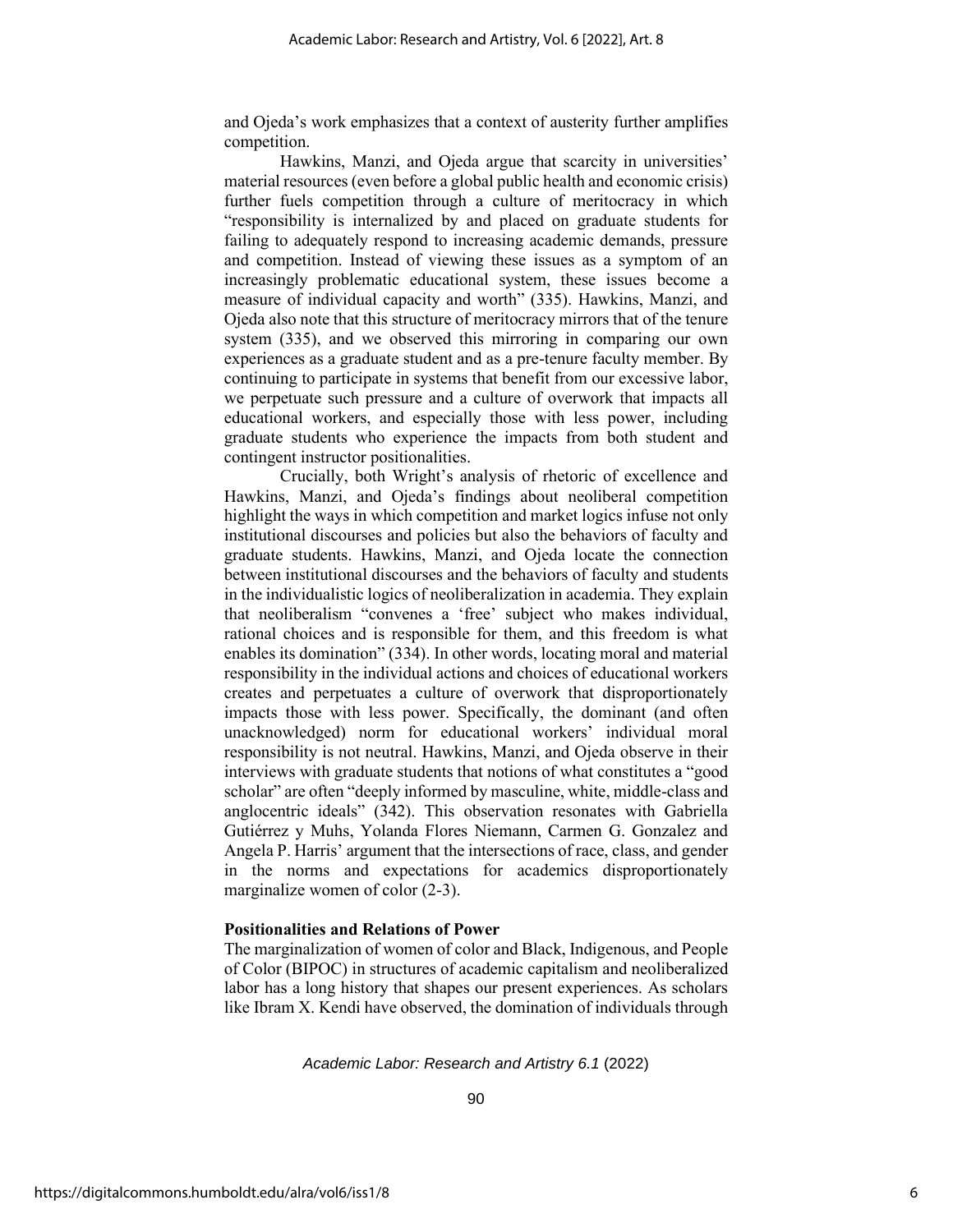and Ojeda's work emphasizes that a context of austerity further amplifies competition.

Hawkins, Manzi, and Ojeda argue that scarcity in universities' material resources (even before a global public health and economic crisis) further fuels competition through a culture of meritocracy in which "responsibility is internalized by and placed on graduate students for failing to adequately respond to increasing academic demands, pressure and competition. Instead of viewing these issues as a symptom of an increasingly problematic educational system, these issues become a measure of individual capacity and worth" (335). Hawkins, Manzi, and Ojeda also note that this structure of meritocracy mirrors that of the tenure system (335), and we observed this mirroring in comparing our own experiences as a graduate student and as a pre-tenure faculty member. By continuing to participate in systems that benefit from our excessive labor, we perpetuate such pressure and a culture of overwork that impacts all educational workers, and especially those with less power, including graduate students who experience the impacts from both student and contingent instructor positionalities.

Crucially, both Wright's analysis of rhetoric of excellence and Hawkins, Manzi, and Ojeda's findings about neoliberal competition highlight the ways in which competition and market logics infuse not only institutional discourses and policies but also the behaviors of faculty and graduate students. Hawkins, Manzi, and Ojeda locate the connection between institutional discourses and the behaviors of faculty and students in the individualistic logics of neoliberalization in academia. They explain that neoliberalism "convenes a 'free' subject who makes individual, rational choices and is responsible for them, and this freedom is what enables its domination" (334). In other words, locating moral and material responsibility in the individual actions and choices of educational workers creates and perpetuates a culture of overwork that disproportionately impacts those with less power. Specifically, the dominant (and often unacknowledged) norm for educational workers' individual moral responsibility is not neutral. Hawkins, Manzi, and Ojeda observe in their interviews with graduate students that notions of what constitutes a "good scholar" are often "deeply informed by masculine, white, middle-class and anglocentric ideals" (342). This observation resonates with Gabriella Gutiérrez y Muhs, Yolanda Flores Niemann, Carmen G. Gonzalez and Angela P. Harris' argument that the intersections of race, class, and gender in the norms and expectations for academics disproportionately marginalize women of color (2-3).

#### **Positionalities and Relations of Power**

The marginalization of women of color and Black, Indigenous, and People of Color (BIPOC) in structures of academic capitalism and neoliberalized labor has a long history that shapes our present experiences. As scholars like Ibram X. Kendi have observed, the domination of individuals through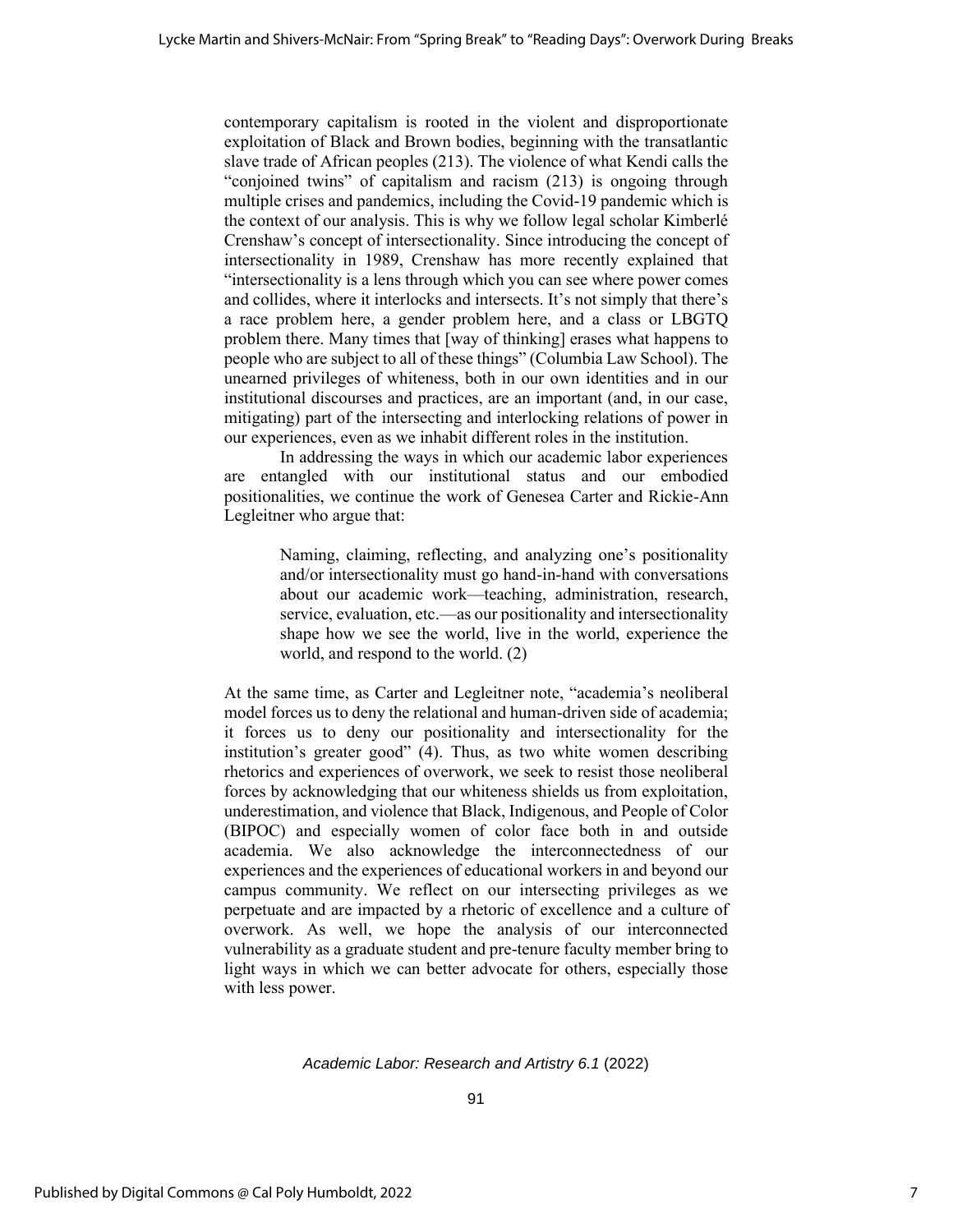contemporary capitalism is rooted in the violent and disproportionate exploitation of Black and Brown bodies, beginning with the transatlantic slave trade of African peoples (213). The violence of what Kendi calls the "conjoined twins" of capitalism and racism (213) is ongoing through multiple crises and pandemics, including the Covid-19 pandemic which is the context of our analysis. This is why we follow legal scholar Kimberlé Crenshaw's concept of intersectionality. Since introducing the concept of intersectionality in 1989, Crenshaw has more recently explained that "intersectionality is a lens through which you can see where power comes and collides, where it interlocks and intersects. It's not simply that there's a race problem here, a gender problem here, and a class or LBGTQ problem there. Many times that [way of thinking] erases what happens to people who are subject to all of these things" (Columbia Law School). The unearned privileges of whiteness, both in our own identities and in our institutional discourses and practices, are an important (and, in our case, mitigating) part of the intersecting and interlocking relations of power in our experiences, even as we inhabit different roles in the institution.

In addressing the ways in which our academic labor experiences are entangled with our institutional status and our embodied positionalities, we continue the work of Genesea Carter and Rickie-Ann Legleitner who argue that:

> Naming, claiming, reflecting, and analyzing one's positionality and/or intersectionality must go hand-in-hand with conversations about our academic work—teaching, administration, research, service, evaluation, etc.—as our positionality and intersectionality shape how we see the world, live in the world, experience the world, and respond to the world. (2)

At the same time, as Carter and Legleitner note, "academia's neoliberal model forces us to deny the relational and human-driven side of academia; it forces us to deny our positionality and intersectionality for the institution's greater good" (4). Thus, as two white women describing rhetorics and experiences of overwork, we seek to resist those neoliberal forces by acknowledging that our whiteness shields us from exploitation, underestimation, and violence that Black, Indigenous, and People of Color (BIPOC) and especially women of color face both in and outside academia. We also acknowledge the interconnectedness of our experiences and the experiences of educational workers in and beyond our campus community. We reflect on our intersecting privileges as we perpetuate and are impacted by a rhetoric of excellence and a culture of overwork. As well, we hope the analysis of our interconnected vulnerability as a graduate student and pre-tenure faculty member bring to light ways in which we can better advocate for others, especially those with less power.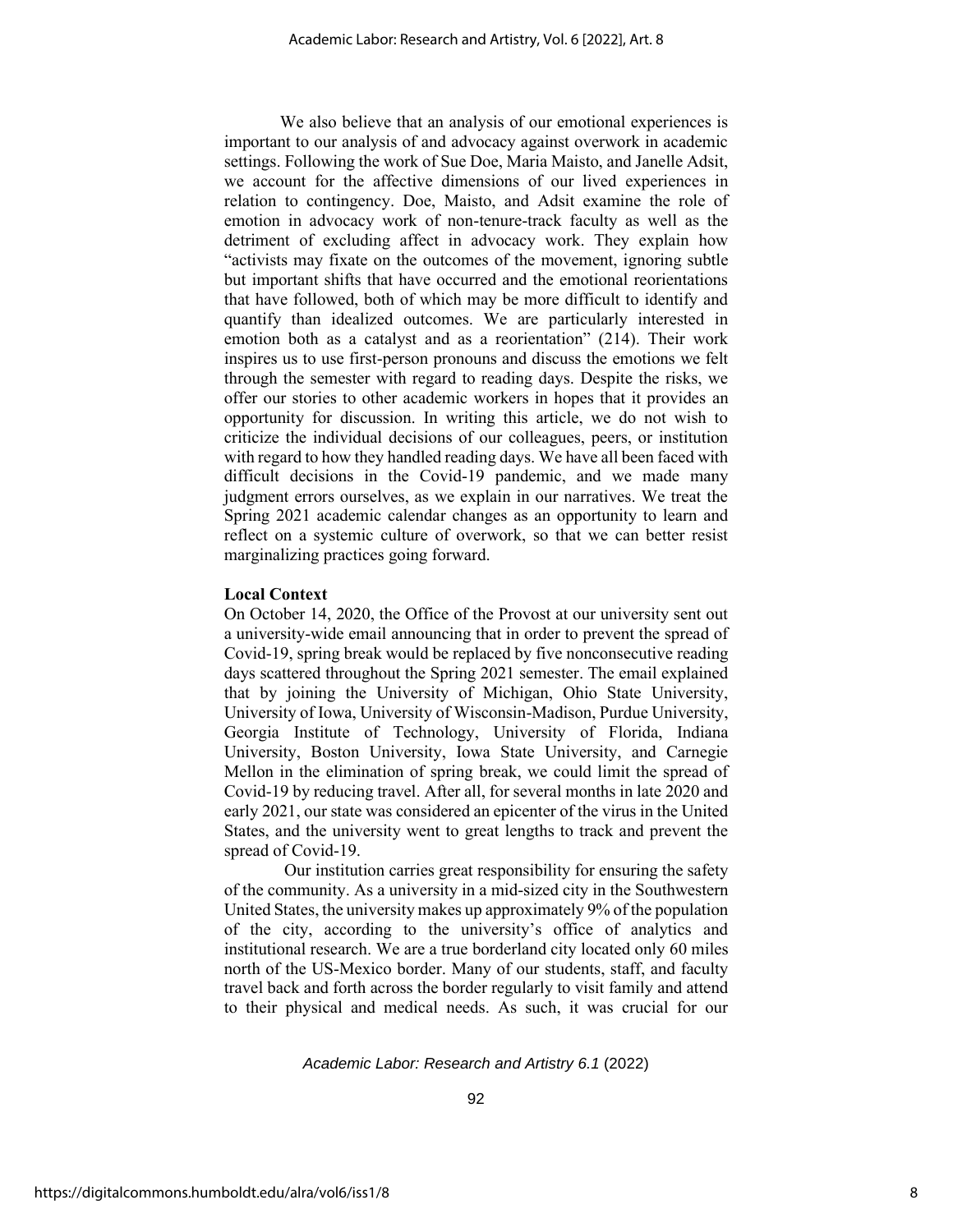We also believe that an analysis of our emotional experiences is important to our analysis of and advocacy against overwork in academic settings. Following the work of Sue Doe, Maria Maisto, and Janelle Adsit, we account for the affective dimensions of our lived experiences in relation to contingency. Doe, Maisto, and Adsit examine the role of emotion in advocacy work of non-tenure-track faculty as well as the detriment of excluding affect in advocacy work. They explain how "activists may fixate on the outcomes of the movement, ignoring subtle but important shifts that have occurred and the emotional reorientations that have followed, both of which may be more difficult to identify and quantify than idealized outcomes. We are particularly interested in emotion both as a catalyst and as a reorientation" (214). Their work inspires us to use first-person pronouns and discuss the emotions we felt through the semester with regard to reading days. Despite the risks, we offer our stories to other academic workers in hopes that it provides an opportunity for discussion. In writing this article, we do not wish to criticize the individual decisions of our colleagues, peers, or institution with regard to how they handled reading days. We have all been faced with difficult decisions in the Covid-19 pandemic, and we made many judgment errors ourselves, as we explain in our narratives. We treat the Spring 2021 academic calendar changes as an opportunity to learn and reflect on a systemic culture of overwork, so that we can better resist marginalizing practices going forward.

# **Local Context**

On October 14, 2020, the Office of the Provost at our university sent out a university-wide email announcing that in order to prevent the spread of Covid-19, spring break would be replaced by five nonconsecutive reading days scattered throughout the Spring 2021 semester. The email explained that by joining the University of Michigan, Ohio State University, University of Iowa, University of Wisconsin-Madison, Purdue University, Georgia Institute of Technology, University of Florida, Indiana University, Boston University, Iowa State University, and Carnegie Mellon in the elimination of spring break, we could limit the spread of Covid-19 by reducing travel. After all, for several months in late 2020 and early 2021, our state was considered an epicenter of the virus in the United States, and the university went to great lengths to track and prevent the spread of Covid-19.

Our institution carries great responsibility for ensuring the safety of the community. As a university in a mid-sized city in the Southwestern United States, the university makes up approximately 9% of the population of the city, according to the university's office of analytics and institutional research. We are a true borderland city located only 60 miles north of the US-Mexico border. Many of our students, staff, and faculty travel back and forth across the border regularly to visit family and attend to their physical and medical needs. As such, it was crucial for our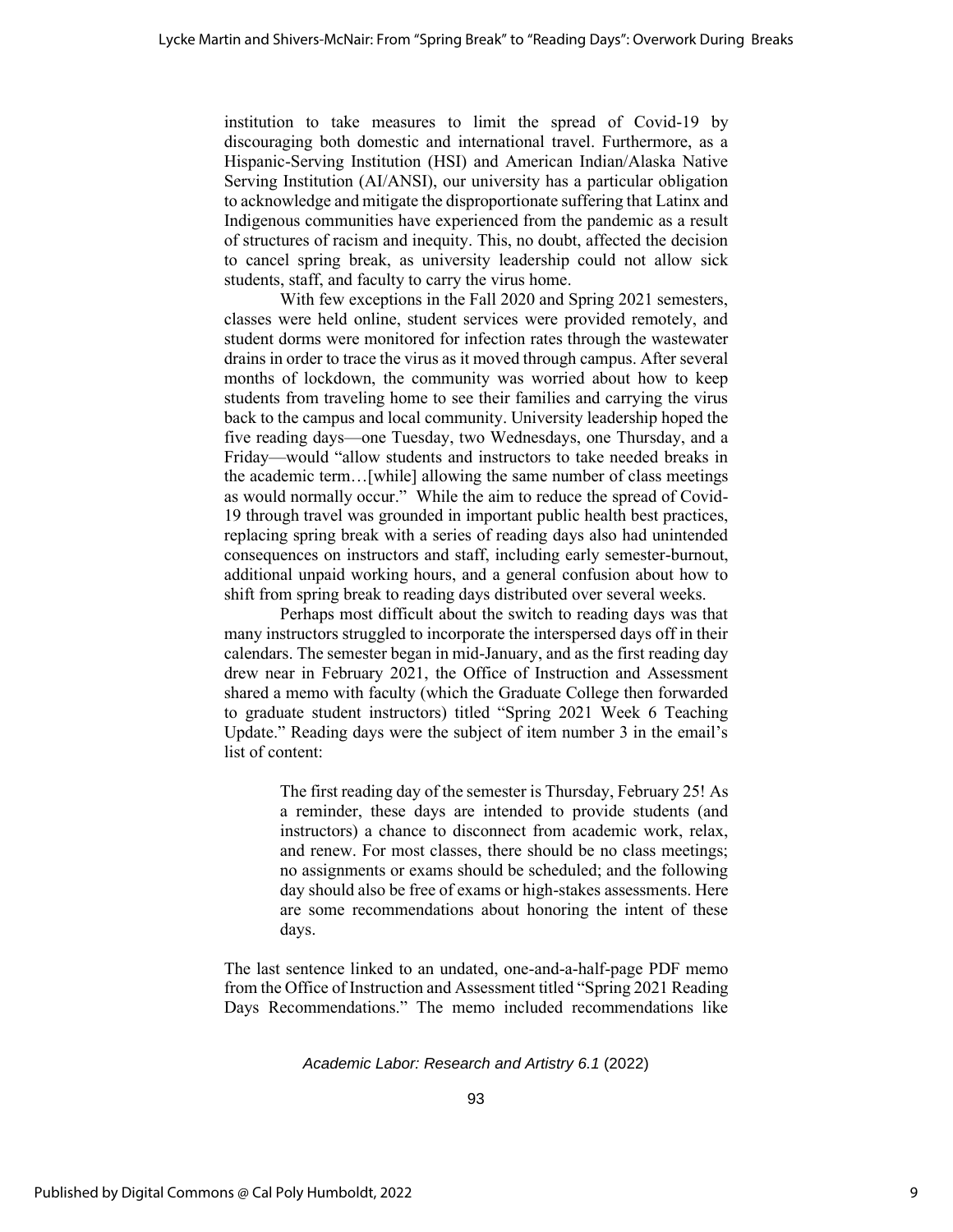institution to take measures to limit the spread of Covid-19 by discouraging both domestic and international travel. Furthermore, as a Hispanic-Serving Institution (HSI) and American Indian/Alaska Native Serving Institution (AI/ANSI), our university has a particular obligation to acknowledge and mitigate the disproportionate suffering that Latinx and Indigenous communities have experienced from the pandemic as a result of structures of racism and inequity. This, no doubt, affected the decision to cancel spring break, as university leadership could not allow sick students, staff, and faculty to carry the virus home.

With few exceptions in the Fall 2020 and Spring 2021 semesters, classes were held online, student services were provided remotely, and student dorms were monitored for infection rates through the wastewater drains in order to trace the virus as it moved through campus. After several months of lockdown, the community was worried about how to keep students from traveling home to see their families and carrying the virus back to the campus and local community. University leadership hoped the five reading days—one Tuesday, two Wednesdays, one Thursday, and a Friday—would "allow students and instructors to take needed breaks in the academic term…[while] allowing the same number of class meetings as would normally occur." While the aim to reduce the spread of Covid-19 through travel was grounded in important public health best practices, replacing spring break with a series of reading days also had unintended consequences on instructors and staff, including early semester-burnout, additional unpaid working hours, and a general confusion about how to shift from spring break to reading days distributed over several weeks.

Perhaps most difficult about the switch to reading days was that many instructors struggled to incorporate the interspersed days off in their calendars. The semester began in mid-January, and as the first reading day drew near in February 2021, the Office of Instruction and Assessment shared a memo with faculty (which the Graduate College then forwarded to graduate student instructors) titled "Spring 2021 Week 6 Teaching Update." Reading days were the subject of item number 3 in the email's list of content:

> The first reading day of the semester is Thursday, February 25! As a reminder, these days are intended to provide students (and instructors) a chance to disconnect from academic work, relax, and renew. For most classes, there should be no class meetings; no assignments or exams should be scheduled; and the following day should also be free of exams or high-stakes assessments. Here are some recommendations about honoring the intent of these days.

The last sentence linked to an undated, one-and-a-half-page PDF memo from the Office of Instruction and Assessment titled "Spring 2021 Reading Days Recommendations." The memo included recommendations like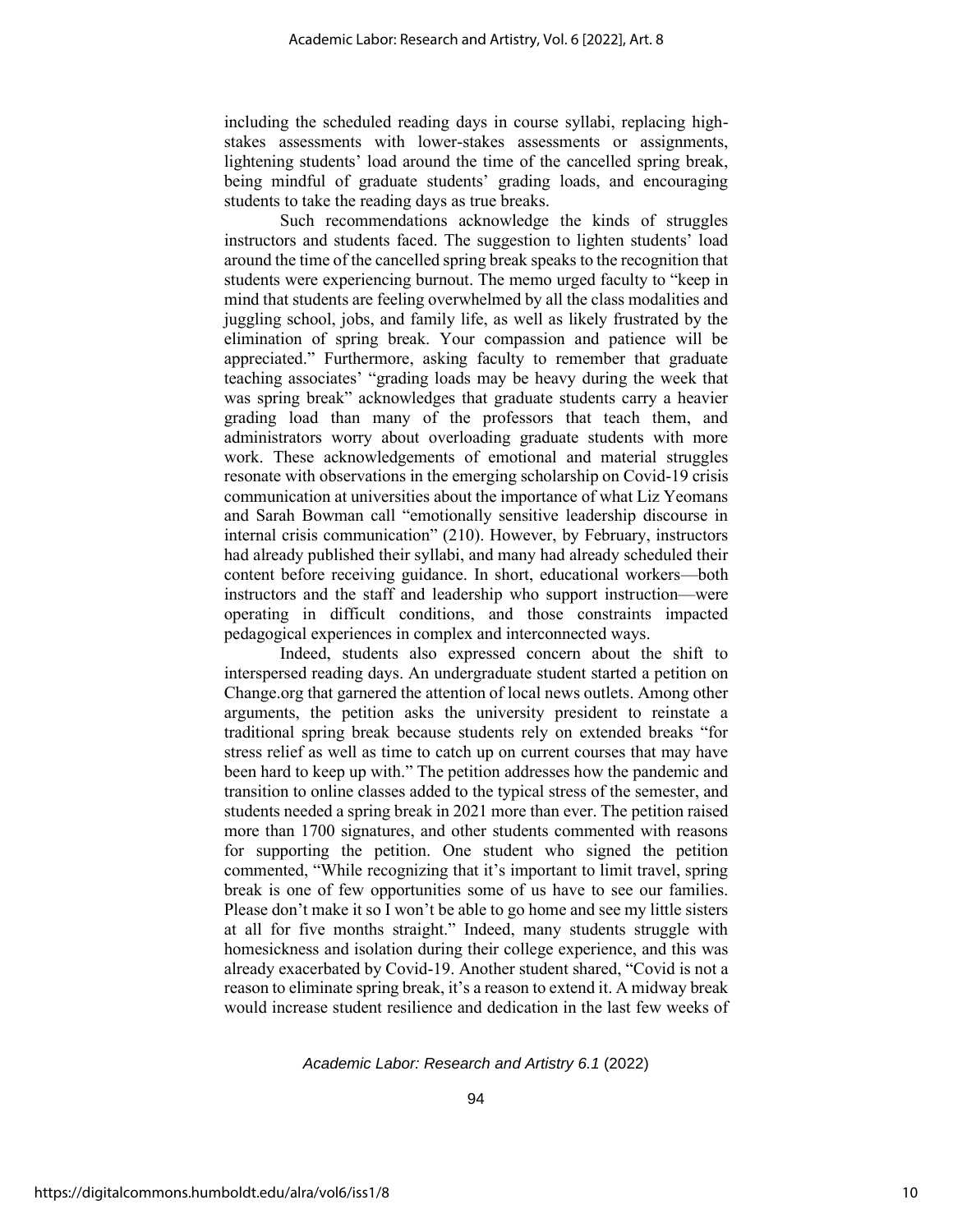including the scheduled reading days in course syllabi, replacing highstakes assessments with lower-stakes assessments or assignments, lightening students' load around the time of the cancelled spring break, being mindful of graduate students' grading loads, and encouraging students to take the reading days as true breaks.

Such recommendations acknowledge the kinds of struggles instructors and students faced. The suggestion to lighten students' load around the time of the cancelled spring break speaks to the recognition that students were experiencing burnout. The memo urged faculty to "keep in mind that students are feeling overwhelmed by all the class modalities and juggling school, jobs, and family life, as well as likely frustrated by the elimination of spring break. Your compassion and patience will be appreciated." Furthermore, asking faculty to remember that graduate teaching associates' "grading loads may be heavy during the week that was spring break" acknowledges that graduate students carry a heavier grading load than many of the professors that teach them, and administrators worry about overloading graduate students with more work. These acknowledgements of emotional and material struggles resonate with observations in the emerging scholarship on Covid-19 crisis communication at universities about the importance of what Liz Yeomans and Sarah Bowman call "emotionally sensitive leadership discourse in internal crisis communication" (210). However, by February, instructors had already published their syllabi, and many had already scheduled their content before receiving guidance. In short, educational workers—both instructors and the staff and leadership who support instruction—were operating in difficult conditions, and those constraints impacted pedagogical experiences in complex and interconnected ways.

Indeed, students also expressed concern about the shift to interspersed reading days. An undergraduate student started a petition on Change.org that garnered the attention of local news outlets. Among other arguments, the petition asks the university president to reinstate a traditional spring break because students rely on extended breaks "for stress relief as well as time to catch up on current courses that may have been hard to keep up with." The petition addresses how the pandemic and transition to online classes added to the typical stress of the semester, and students needed a spring break in 2021 more than ever. The petition raised more than 1700 signatures, and other students commented with reasons for supporting the petition. One student who signed the petition commented, "While recognizing that it's important to limit travel, spring break is one of few opportunities some of us have to see our families. Please don't make it so I won't be able to go home and see my little sisters at all for five months straight." Indeed, many students struggle with homesickness and isolation during their college experience, and this was already exacerbated by Covid-19. Another student shared, "Covid is not a reason to eliminate spring break, it's a reason to extend it. A midway break would increase student resilience and dedication in the last few weeks of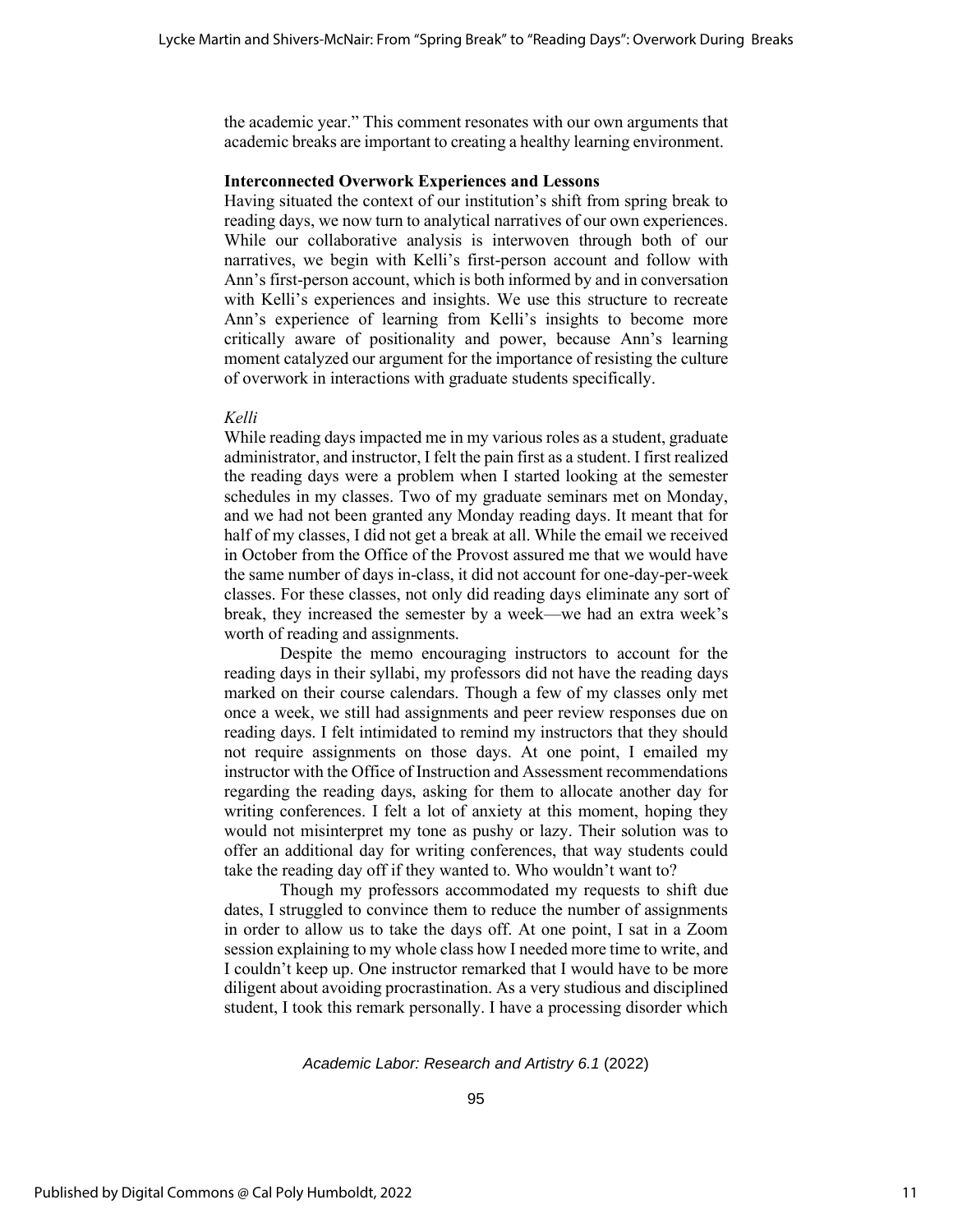the academic year." This comment resonates with our own arguments that academic breaks are important to creating a healthy learning environment.

# **Interconnected Overwork Experiences and Lessons**

Having situated the context of our institution's shift from spring break to reading days, we now turn to analytical narratives of our own experiences. While our collaborative analysis is interwoven through both of our narratives, we begin with Kelli's first-person account and follow with Ann's first-person account, which is both informed by and in conversation with Kelli's experiences and insights. We use this structure to recreate Ann's experience of learning from Kelli's insights to become more critically aware of positionality and power, because Ann's learning moment catalyzed our argument for the importance of resisting the culture of overwork in interactions with graduate students specifically.

#### *Kelli*

While reading days impacted me in my various roles as a student, graduate administrator, and instructor, I felt the pain first as a student. I first realized the reading days were a problem when I started looking at the semester schedules in my classes. Two of my graduate seminars met on Monday, and we had not been granted any Monday reading days. It meant that for half of my classes, I did not get a break at all. While the email we received in October from the Office of the Provost assured me that we would have the same number of days in-class, it did not account for one-day-per-week classes. For these classes, not only did reading days eliminate any sort of break, they increased the semester by a week—we had an extra week's worth of reading and assignments.

Despite the memo encouraging instructors to account for the reading days in their syllabi, my professors did not have the reading days marked on their course calendars. Though a few of my classes only met once a week, we still had assignments and peer review responses due on reading days. I felt intimidated to remind my instructors that they should not require assignments on those days. At one point, I emailed my instructor with the Office of Instruction and Assessment recommendations regarding the reading days, asking for them to allocate another day for writing conferences. I felt a lot of anxiety at this moment, hoping they would not misinterpret my tone as pushy or lazy. Their solution was to offer an additional day for writing conferences, that way students could take the reading day off if they wanted to. Who wouldn't want to?

Though my professors accommodated my requests to shift due dates, I struggled to convince them to reduce the number of assignments in order to allow us to take the days off. At one point, I sat in a Zoom session explaining to my whole class how I needed more time to write, and I couldn't keep up. One instructor remarked that I would have to be more diligent about avoiding procrastination. As a very studious and disciplined student, I took this remark personally. I have a processing disorder which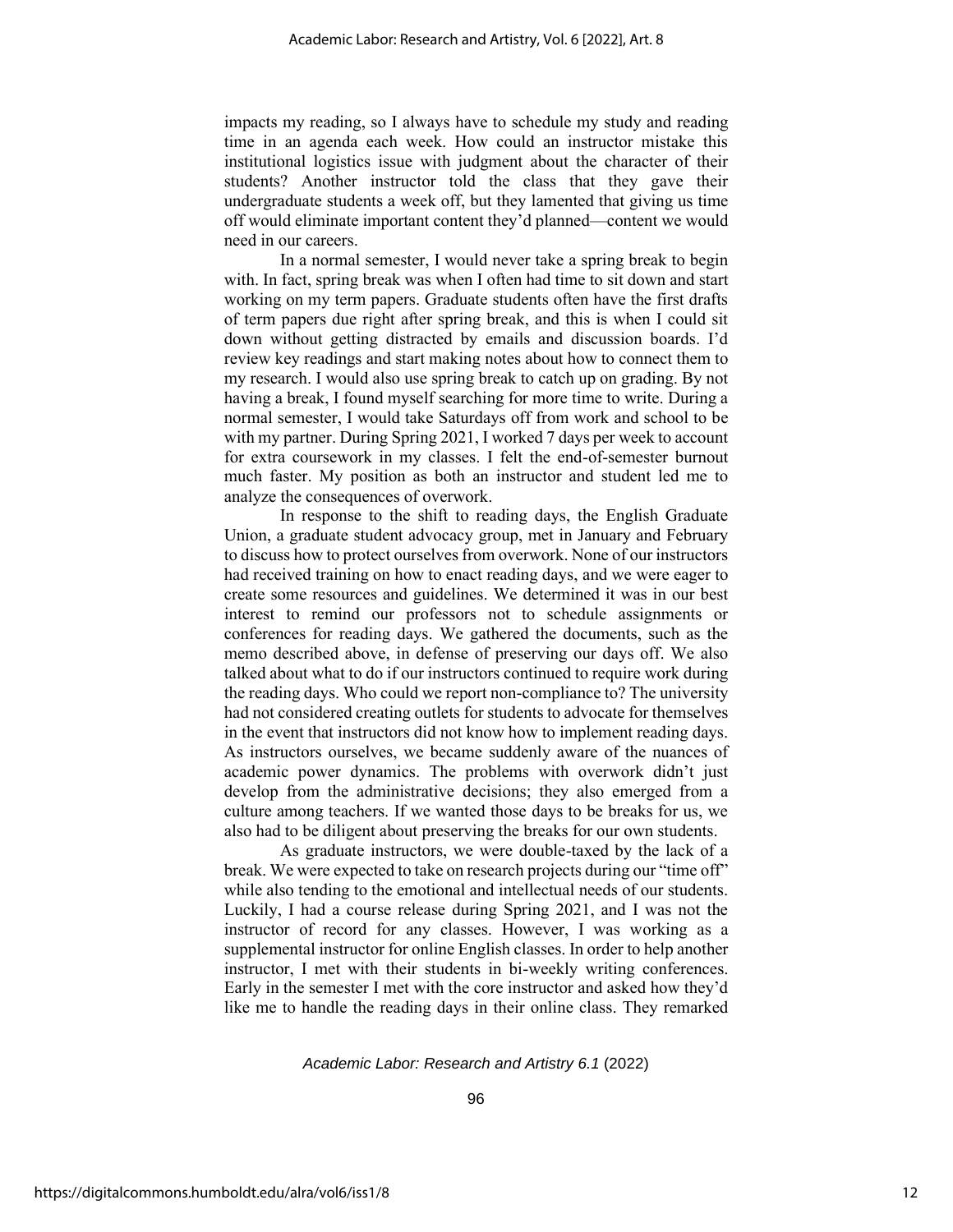impacts my reading, so I always have to schedule my study and reading time in an agenda each week. How could an instructor mistake this institutional logistics issue with judgment about the character of their students? Another instructor told the class that they gave their undergraduate students a week off, but they lamented that giving us time off would eliminate important content they'd planned—content we would need in our careers.

In a normal semester, I would never take a spring break to begin with. In fact, spring break was when I often had time to sit down and start working on my term papers. Graduate students often have the first drafts of term papers due right after spring break, and this is when I could sit down without getting distracted by emails and discussion boards. I'd review key readings and start making notes about how to connect them to my research. I would also use spring break to catch up on grading. By not having a break, I found myself searching for more time to write. During a normal semester, I would take Saturdays off from work and school to be with my partner. During Spring 2021, I worked 7 days per week to account for extra coursework in my classes. I felt the end-of-semester burnout much faster. My position as both an instructor and student led me to analyze the consequences of overwork.

In response to the shift to reading days, the English Graduate Union, a graduate student advocacy group, met in January and February to discuss how to protect ourselves from overwork. None of our instructors had received training on how to enact reading days, and we were eager to create some resources and guidelines. We determined it was in our best interest to remind our professors not to schedule assignments or conferences for reading days. We gathered the documents, such as the memo described above, in defense of preserving our days off. We also talked about what to do if our instructors continued to require work during the reading days. Who could we report non-compliance to? The university had not considered creating outlets for students to advocate for themselves in the event that instructors did not know how to implement reading days. As instructors ourselves, we became suddenly aware of the nuances of academic power dynamics. The problems with overwork didn't just develop from the administrative decisions; they also emerged from a culture among teachers. If we wanted those days to be breaks for us, we also had to be diligent about preserving the breaks for our own students.

As graduate instructors, we were double-taxed by the lack of a break. We were expected to take on research projects during our "time off" while also tending to the emotional and intellectual needs of our students. Luckily, I had a course release during Spring 2021, and I was not the instructor of record for any classes. However, I was working as a supplemental instructor for online English classes. In order to help another instructor, I met with their students in bi-weekly writing conferences. Early in the semester I met with the core instructor and asked how they'd like me to handle the reading days in their online class. They remarked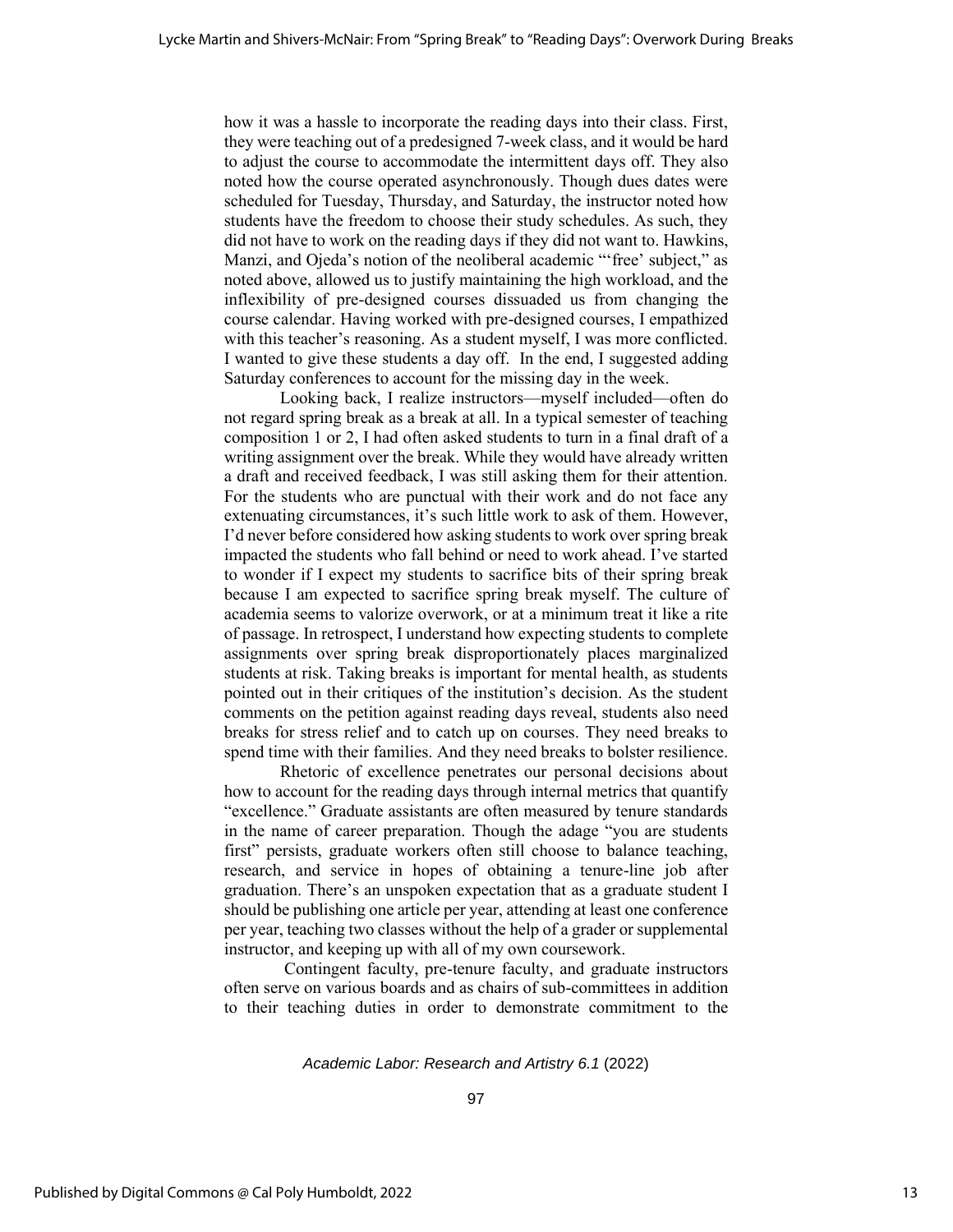how it was a hassle to incorporate the reading days into their class. First, they were teaching out of a predesigned 7-week class, and it would be hard to adjust the course to accommodate the intermittent days off. They also noted how the course operated asynchronously. Though dues dates were scheduled for Tuesday, Thursday, and Saturday, the instructor noted how students have the freedom to choose their study schedules. As such, they did not have to work on the reading days if they did not want to. Hawkins, Manzi, and Ojeda's notion of the neoliberal academic "'free' subject," as noted above, allowed us to justify maintaining the high workload, and the inflexibility of pre-designed courses dissuaded us from changing the course calendar. Having worked with pre-designed courses, I empathized with this teacher's reasoning. As a student myself, I was more conflicted. I wanted to give these students a day off. In the end, I suggested adding Saturday conferences to account for the missing day in the week.

Looking back, I realize instructors—myself included—often do not regard spring break as a break at all. In a typical semester of teaching composition 1 or 2, I had often asked students to turn in a final draft of a writing assignment over the break. While they would have already written a draft and received feedback, I was still asking them for their attention. For the students who are punctual with their work and do not face any extenuating circumstances, it's such little work to ask of them. However, I'd never before considered how asking students to work over spring break impacted the students who fall behind or need to work ahead. I've started to wonder if I expect my students to sacrifice bits of their spring break because I am expected to sacrifice spring break myself. The culture of academia seems to valorize overwork, or at a minimum treat it like a rite of passage. In retrospect, I understand how expecting students to complete assignments over spring break disproportionately places marginalized students at risk. Taking breaks is important for mental health, as students pointed out in their critiques of the institution's decision. As the student comments on the petition against reading days reveal, students also need breaks for stress relief and to catch up on courses. They need breaks to spend time with their families. And they need breaks to bolster resilience.

Rhetoric of excellence penetrates our personal decisions about how to account for the reading days through internal metrics that quantify "excellence." Graduate assistants are often measured by tenure standards in the name of career preparation. Though the adage "you are students first" persists, graduate workers often still choose to balance teaching, research, and service in hopes of obtaining a tenure-line job after graduation. There's an unspoken expectation that as a graduate student I should be publishing one article per year, attending at least one conference per year, teaching two classes without the help of a grader or supplemental instructor, and keeping up with all of my own coursework.

Contingent faculty, pre-tenure faculty, and graduate instructors often serve on various boards and as chairs of sub-committees in addition to their teaching duties in order to demonstrate commitment to the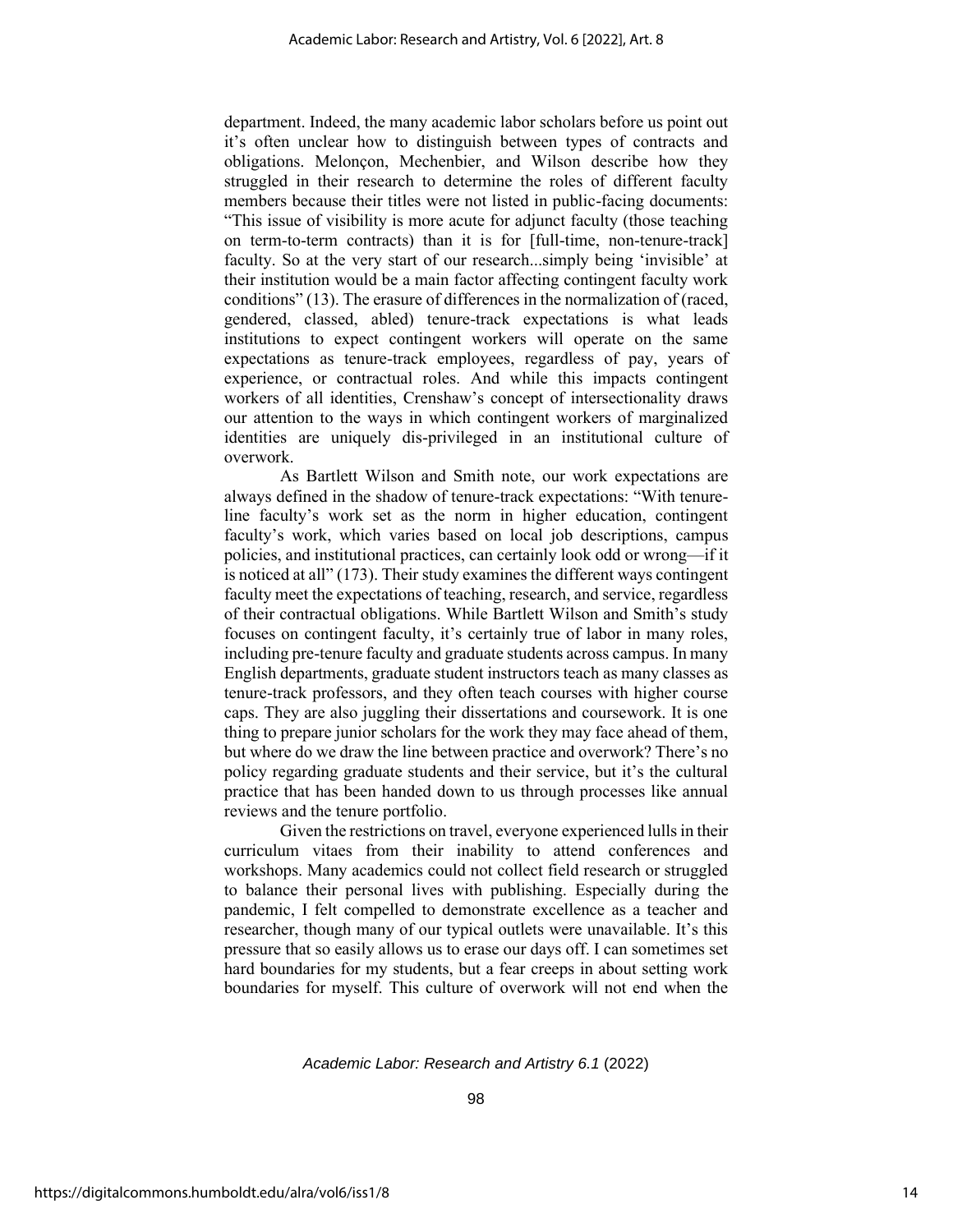department. Indeed, the many academic labor scholars before us point out it's often unclear how to distinguish between types of contracts and obligations. Melonçon, Mechenbier, and Wilson describe how they struggled in their research to determine the roles of different faculty members because their titles were not listed in public-facing documents: "This issue of visibility is more acute for adjunct faculty (those teaching on term-to-term contracts) than it is for [full-time, non-tenure-track] faculty. So at the very start of our research...simply being 'invisible' at their institution would be a main factor affecting contingent faculty work conditions" (13). The erasure of differences in the normalization of (raced, gendered, classed, abled) tenure-track expectations is what leads institutions to expect contingent workers will operate on the same expectations as tenure-track employees, regardless of pay, years of experience, or contractual roles. And while this impacts contingent workers of all identities, Crenshaw's concept of intersectionality draws our attention to the ways in which contingent workers of marginalized identities are uniquely dis-privileged in an institutional culture of overwork.

As Bartlett Wilson and Smith note, our work expectations are always defined in the shadow of tenure-track expectations: "With tenureline faculty's work set as the norm in higher education, contingent faculty's work, which varies based on local job descriptions, campus policies, and institutional practices, can certainly look odd or wrong—if it is noticed at all" (173). Their study examines the different ways contingent faculty meet the expectations of teaching, research, and service, regardless of their contractual obligations. While Bartlett Wilson and Smith's study focuses on contingent faculty, it's certainly true of labor in many roles, including pre-tenure faculty and graduate students across campus. In many English departments, graduate student instructors teach as many classes as tenure-track professors, and they often teach courses with higher course caps. They are also juggling their dissertations and coursework. It is one thing to prepare junior scholars for the work they may face ahead of them, but where do we draw the line between practice and overwork? There's no policy regarding graduate students and their service, but it's the cultural practice that has been handed down to us through processes like annual reviews and the tenure portfolio.

Given the restrictions on travel, everyone experienced lulls in their curriculum vitaes from their inability to attend conferences and workshops. Many academics could not collect field research or struggled to balance their personal lives with publishing. Especially during the pandemic, I felt compelled to demonstrate excellence as a teacher and researcher, though many of our typical outlets were unavailable. It's this pressure that so easily allows us to erase our days off. I can sometimes set hard boundaries for my students, but a fear creeps in about setting work boundaries for myself. This culture of overwork will not end when the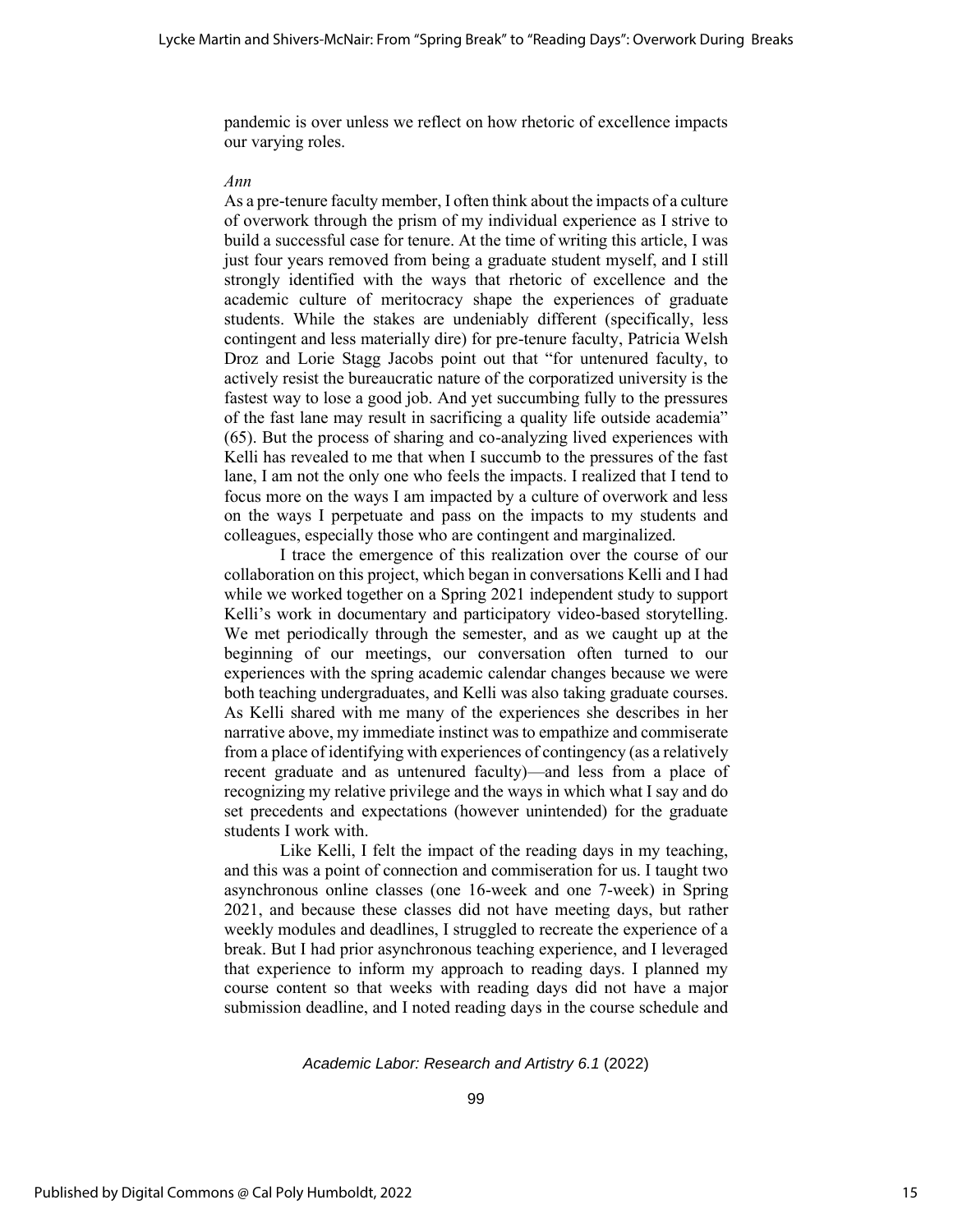pandemic is over unless we reflect on how rhetoric of excellence impacts our varying roles.

#### *Ann*

As a pre-tenure faculty member, I often think about the impacts of a culture of overwork through the prism of my individual experience as I strive to build a successful case for tenure. At the time of writing this article, I was just four years removed from being a graduate student myself, and I still strongly identified with the ways that rhetoric of excellence and the academic culture of meritocracy shape the experiences of graduate students. While the stakes are undeniably different (specifically, less contingent and less materially dire) for pre-tenure faculty, Patricia Welsh Droz and Lorie Stagg Jacobs point out that "for untenured faculty, to actively resist the bureaucratic nature of the corporatized university is the fastest way to lose a good job. And yet succumbing fully to the pressures of the fast lane may result in sacrificing a quality life outside academia" (65). But the process of sharing and co-analyzing lived experiences with Kelli has revealed to me that when I succumb to the pressures of the fast lane, I am not the only one who feels the impacts. I realized that I tend to focus more on the ways I am impacted by a culture of overwork and less on the ways I perpetuate and pass on the impacts to my students and colleagues, especially those who are contingent and marginalized.

I trace the emergence of this realization over the course of our collaboration on this project, which began in conversations Kelli and I had while we worked together on a Spring 2021 independent study to support Kelli's work in documentary and participatory video-based storytelling. We met periodically through the semester, and as we caught up at the beginning of our meetings, our conversation often turned to our experiences with the spring academic calendar changes because we were both teaching undergraduates, and Kelli was also taking graduate courses. As Kelli shared with me many of the experiences she describes in her narrative above, my immediate instinct was to empathize and commiserate from a place of identifying with experiences of contingency (as a relatively recent graduate and as untenured faculty)—and less from a place of recognizing my relative privilege and the ways in which what I say and do set precedents and expectations (however unintended) for the graduate students I work with.

Like Kelli, I felt the impact of the reading days in my teaching, and this was a point of connection and commiseration for us. I taught two asynchronous online classes (one 16-week and one 7-week) in Spring 2021, and because these classes did not have meeting days, but rather weekly modules and deadlines, I struggled to recreate the experience of a break. But I had prior asynchronous teaching experience, and I leveraged that experience to inform my approach to reading days. I planned my course content so that weeks with reading days did not have a major submission deadline, and I noted reading days in the course schedule and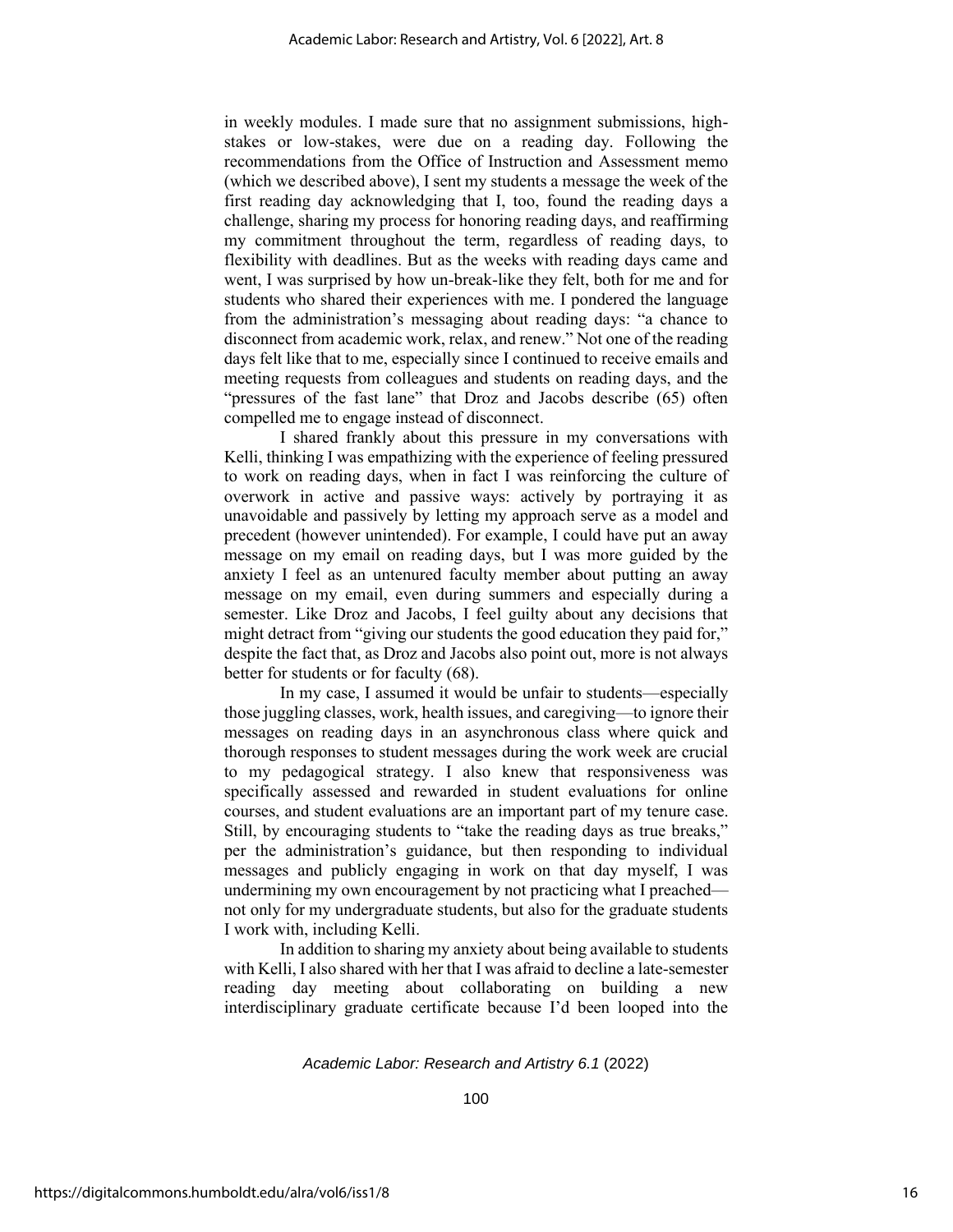in weekly modules. I made sure that no assignment submissions, highstakes or low-stakes, were due on a reading day. Following the recommendations from the Office of Instruction and Assessment memo (which we described above), I sent my students a message the week of the first reading day acknowledging that I, too, found the reading days a challenge, sharing my process for honoring reading days, and reaffirming my commitment throughout the term, regardless of reading days, to flexibility with deadlines. But as the weeks with reading days came and went, I was surprised by how un-break-like they felt, both for me and for students who shared their experiences with me. I pondered the language from the administration's messaging about reading days: "a chance to disconnect from academic work, relax, and renew." Not one of the reading days felt like that to me, especially since I continued to receive emails and meeting requests from colleagues and students on reading days, and the "pressures of the fast lane" that Droz and Jacobs describe (65) often compelled me to engage instead of disconnect.

I shared frankly about this pressure in my conversations with Kelli, thinking I was empathizing with the experience of feeling pressured to work on reading days, when in fact I was reinforcing the culture of overwork in active and passive ways: actively by portraying it as unavoidable and passively by letting my approach serve as a model and precedent (however unintended). For example, I could have put an away message on my email on reading days, but I was more guided by the anxiety I feel as an untenured faculty member about putting an away message on my email, even during summers and especially during a semester. Like Droz and Jacobs, I feel guilty about any decisions that might detract from "giving our students the good education they paid for," despite the fact that, as Droz and Jacobs also point out, more is not always better for students or for faculty (68).

In my case, I assumed it would be unfair to students—especially those juggling classes, work, health issues, and caregiving—to ignore their messages on reading days in an asynchronous class where quick and thorough responses to student messages during the work week are crucial to my pedagogical strategy. I also knew that responsiveness was specifically assessed and rewarded in student evaluations for online courses, and student evaluations are an important part of my tenure case. Still, by encouraging students to "take the reading days as true breaks," per the administration's guidance, but then responding to individual messages and publicly engaging in work on that day myself, I was undermining my own encouragement by not practicing what I preached not only for my undergraduate students, but also for the graduate students I work with, including Kelli.

In addition to sharing my anxiety about being available to students with Kelli, I also shared with her that I was afraid to decline a late-semester reading day meeting about collaborating on building a new interdisciplinary graduate certificate because I'd been looped into the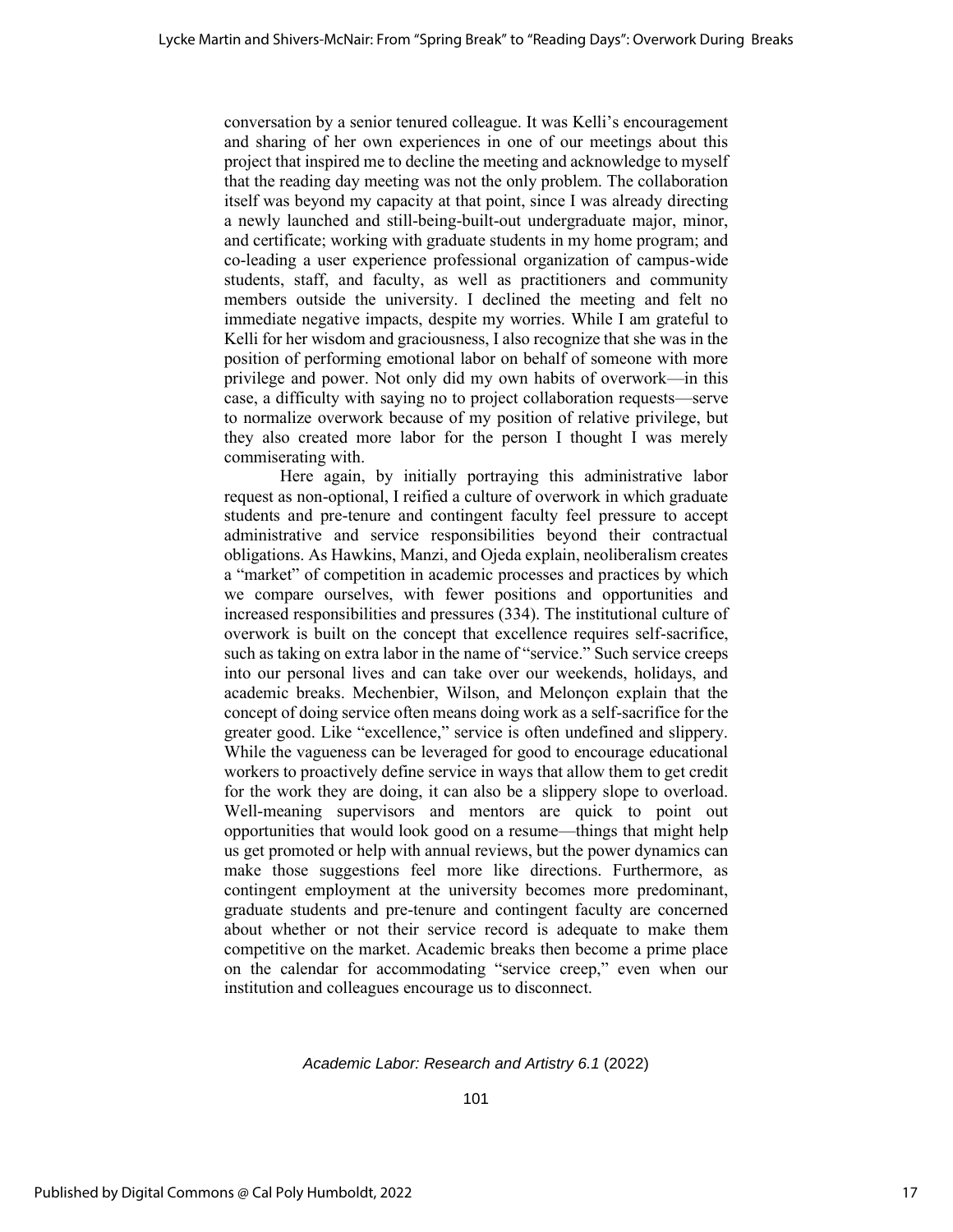conversation by a senior tenured colleague. It was Kelli's encouragement and sharing of her own experiences in one of our meetings about this project that inspired me to decline the meeting and acknowledge to myself that the reading day meeting was not the only problem. The collaboration itself was beyond my capacity at that point, since I was already directing a newly launched and still-being-built-out undergraduate major, minor, and certificate; working with graduate students in my home program; and co-leading a user experience professional organization of campus-wide students, staff, and faculty, as well as practitioners and community members outside the university. I declined the meeting and felt no immediate negative impacts, despite my worries. While I am grateful to Kelli for her wisdom and graciousness, I also recognize that she was in the position of performing emotional labor on behalf of someone with more privilege and power. Not only did my own habits of overwork—in this case, a difficulty with saying no to project collaboration requests—serve to normalize overwork because of my position of relative privilege, but they also created more labor for the person I thought I was merely commiserating with.

Here again, by initially portraying this administrative labor request as non-optional, I reified a culture of overwork in which graduate students and pre-tenure and contingent faculty feel pressure to accept administrative and service responsibilities beyond their contractual obligations. As Hawkins, Manzi, and Ojeda explain, neoliberalism creates a "market" of competition in academic processes and practices by which we compare ourselves, with fewer positions and opportunities and increased responsibilities and pressures (334). The institutional culture of overwork is built on the concept that excellence requires self-sacrifice, such as taking on extra labor in the name of "service." Such service creeps into our personal lives and can take over our weekends, holidays, and academic breaks. Mechenbier, Wilson, and Melonçon explain that the concept of doing service often means doing work as a self-sacrifice for the greater good. Like "excellence," service is often undefined and slippery. While the vagueness can be leveraged for good to encourage educational workers to proactively define service in ways that allow them to get credit for the work they are doing, it can also be a slippery slope to overload. Well-meaning supervisors and mentors are quick to point out opportunities that would look good on a resume—things that might help us get promoted or help with annual reviews, but the power dynamics can make those suggestions feel more like directions. Furthermore, as contingent employment at the university becomes more predominant, graduate students and pre-tenure and contingent faculty are concerned about whether or not their service record is adequate to make them competitive on the market. Academic breaks then become a prime place on the calendar for accommodating "service creep," even when our institution and colleagues encourage us to disconnect.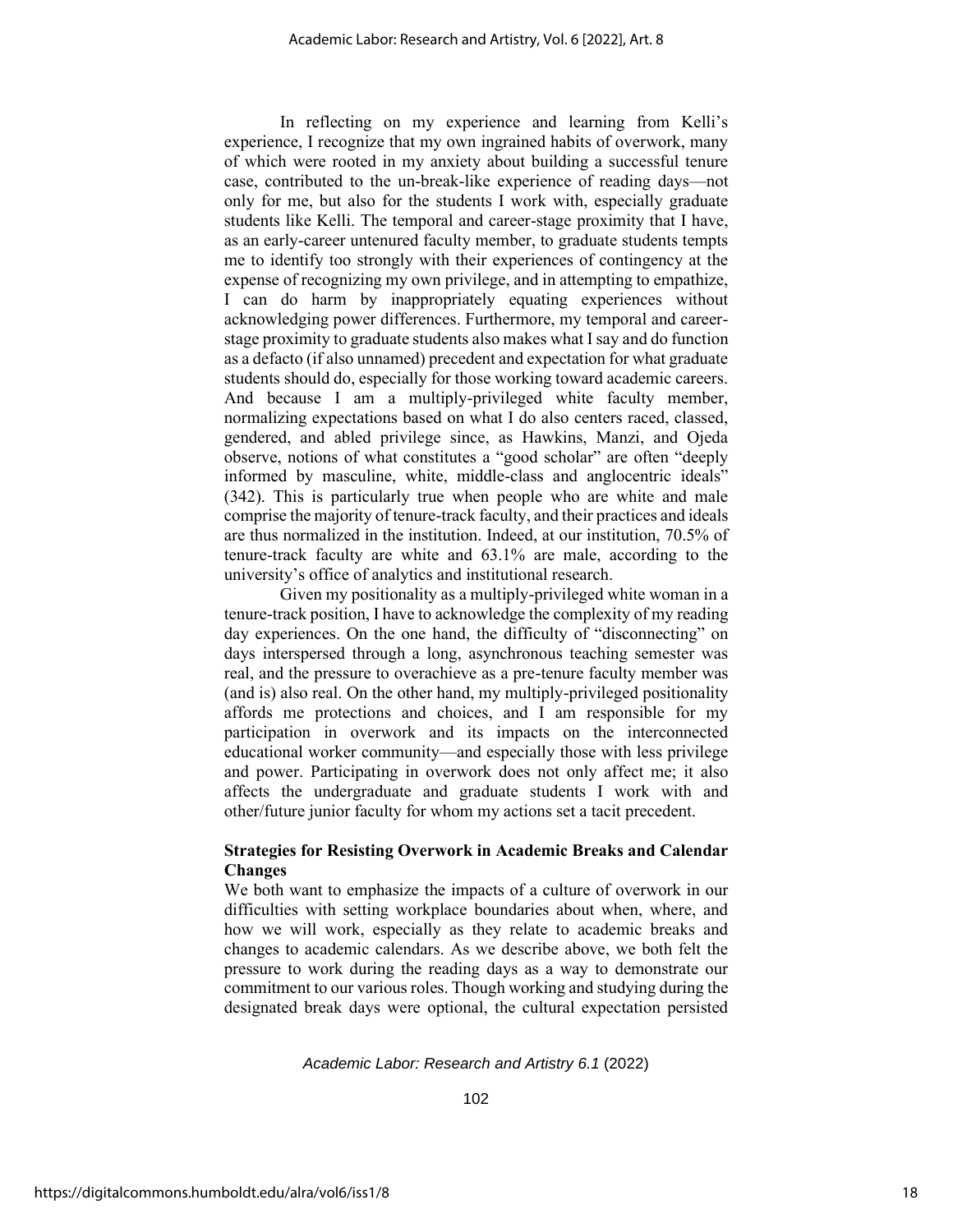In reflecting on my experience and learning from Kelli's experience, I recognize that my own ingrained habits of overwork, many of which were rooted in my anxiety about building a successful tenure case, contributed to the un-break-like experience of reading days—not only for me, but also for the students I work with, especially graduate students like Kelli. The temporal and career-stage proximity that I have, as an early-career untenured faculty member, to graduate students tempts me to identify too strongly with their experiences of contingency at the expense of recognizing my own privilege, and in attempting to empathize, I can do harm by inappropriately equating experiences without acknowledging power differences. Furthermore, my temporal and careerstage proximity to graduate students also makes what I say and do function as a defacto (if also unnamed) precedent and expectation for what graduate students should do, especially for those working toward academic careers. And because I am a multiply-privileged white faculty member, normalizing expectations based on what I do also centers raced, classed, gendered, and abled privilege since, as Hawkins, Manzi, and Ojeda observe, notions of what constitutes a "good scholar" are often "deeply informed by masculine, white, middle-class and anglocentric ideals" (342). This is particularly true when people who are white and male comprise the majority of tenure-track faculty, and their practices and ideals are thus normalized in the institution. Indeed, at our institution, 70.5% of tenure-track faculty are white and 63.1% are male, according to the university's office of analytics and institutional research.

Given my positionality as a multiply-privileged white woman in a tenure-track position, I have to acknowledge the complexity of my reading day experiences. On the one hand, the difficulty of "disconnecting" on days interspersed through a long, asynchronous teaching semester was real, and the pressure to overachieve as a pre-tenure faculty member was (and is) also real. On the other hand, my multiply-privileged positionality affords me protections and choices, and I am responsible for my participation in overwork and its impacts on the interconnected educational worker community—and especially those with less privilege and power. Participating in overwork does not only affect me; it also affects the undergraduate and graduate students I work with and other/future junior faculty for whom my actions set a tacit precedent.

# **Strategies for Resisting Overwork in Academic Breaks and Calendar Changes**

We both want to emphasize the impacts of a culture of overwork in our difficulties with setting workplace boundaries about when, where, and how we will work, especially as they relate to academic breaks and changes to academic calendars. As we describe above, we both felt the pressure to work during the reading days as a way to demonstrate our commitment to our various roles. Though working and studying during the designated break days were optional, the cultural expectation persisted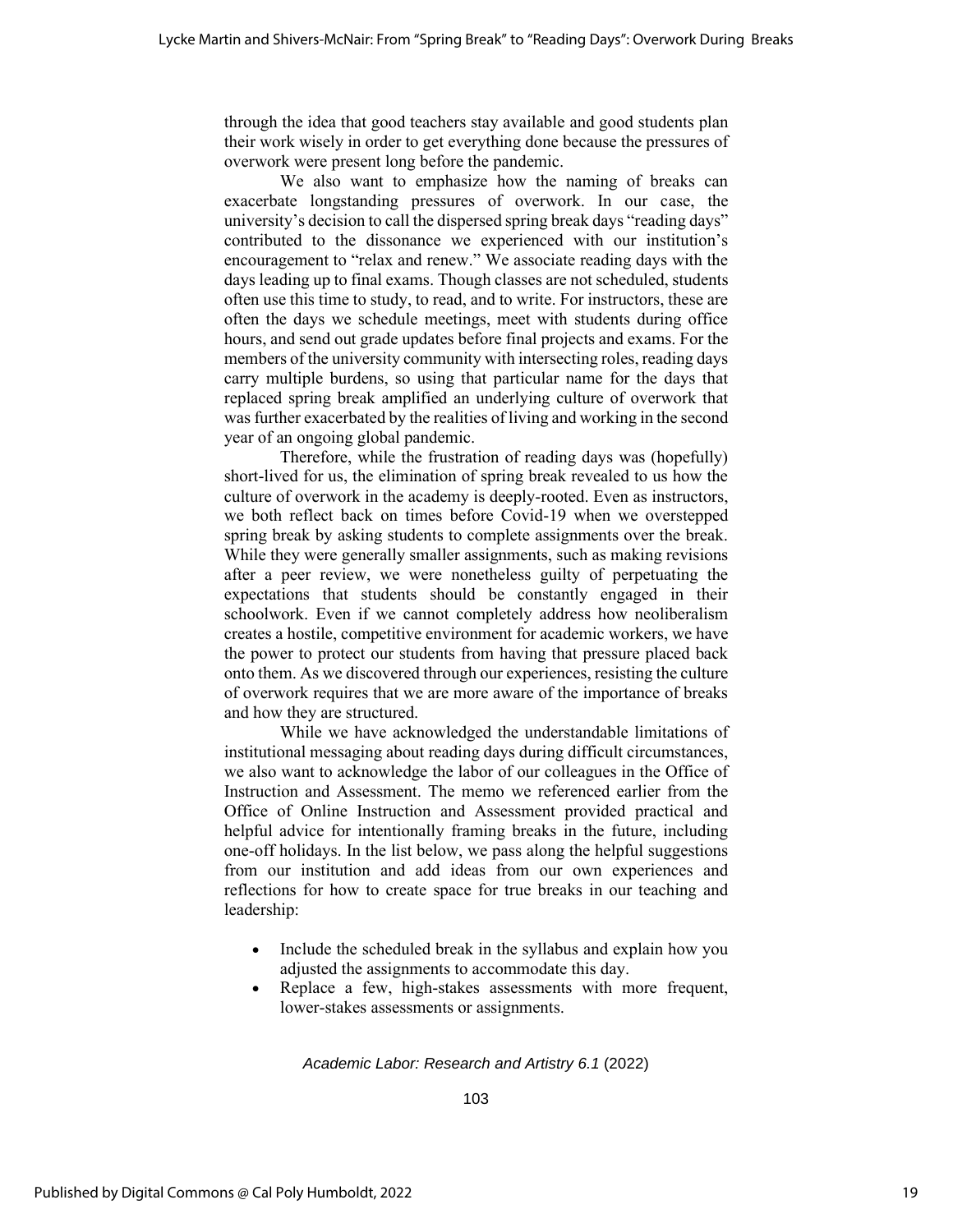through the idea that good teachers stay available and good students plan their work wisely in order to get everything done because the pressures of overwork were present long before the pandemic.

We also want to emphasize how the naming of breaks can exacerbate longstanding pressures of overwork. In our case, the university's decision to call the dispersed spring break days "reading days" contributed to the dissonance we experienced with our institution's encouragement to "relax and renew." We associate reading days with the days leading up to final exams. Though classes are not scheduled, students often use this time to study, to read, and to write. For instructors, these are often the days we schedule meetings, meet with students during office hours, and send out grade updates before final projects and exams. For the members of the university community with intersecting roles, reading days carry multiple burdens, so using that particular name for the days that replaced spring break amplified an underlying culture of overwork that was further exacerbated by the realities of living and working in the second year of an ongoing global pandemic.

Therefore, while the frustration of reading days was (hopefully) short-lived for us, the elimination of spring break revealed to us how the culture of overwork in the academy is deeply-rooted. Even as instructors, we both reflect back on times before Covid-19 when we overstepped spring break by asking students to complete assignments over the break. While they were generally smaller assignments, such as making revisions after a peer review, we were nonetheless guilty of perpetuating the expectations that students should be constantly engaged in their schoolwork. Even if we cannot completely address how neoliberalism creates a hostile, competitive environment for academic workers, we have the power to protect our students from having that pressure placed back onto them. As we discovered through our experiences, resisting the culture of overwork requires that we are more aware of the importance of breaks and how they are structured.

While we have acknowledged the understandable limitations of institutional messaging about reading days during difficult circumstances, we also want to acknowledge the labor of our colleagues in the Office of Instruction and Assessment. The memo we referenced earlier from the Office of Online Instruction and Assessment provided practical and helpful advice for intentionally framing breaks in the future, including one-off holidays. In the list below, we pass along the helpful suggestions from our institution and add ideas from our own experiences and reflections for how to create space for true breaks in our teaching and leadership:

- Include the scheduled break in the syllabus and explain how you adjusted the assignments to accommodate this day.
- Replace a few, high-stakes assessments with more frequent, lower-stakes assessments or assignments.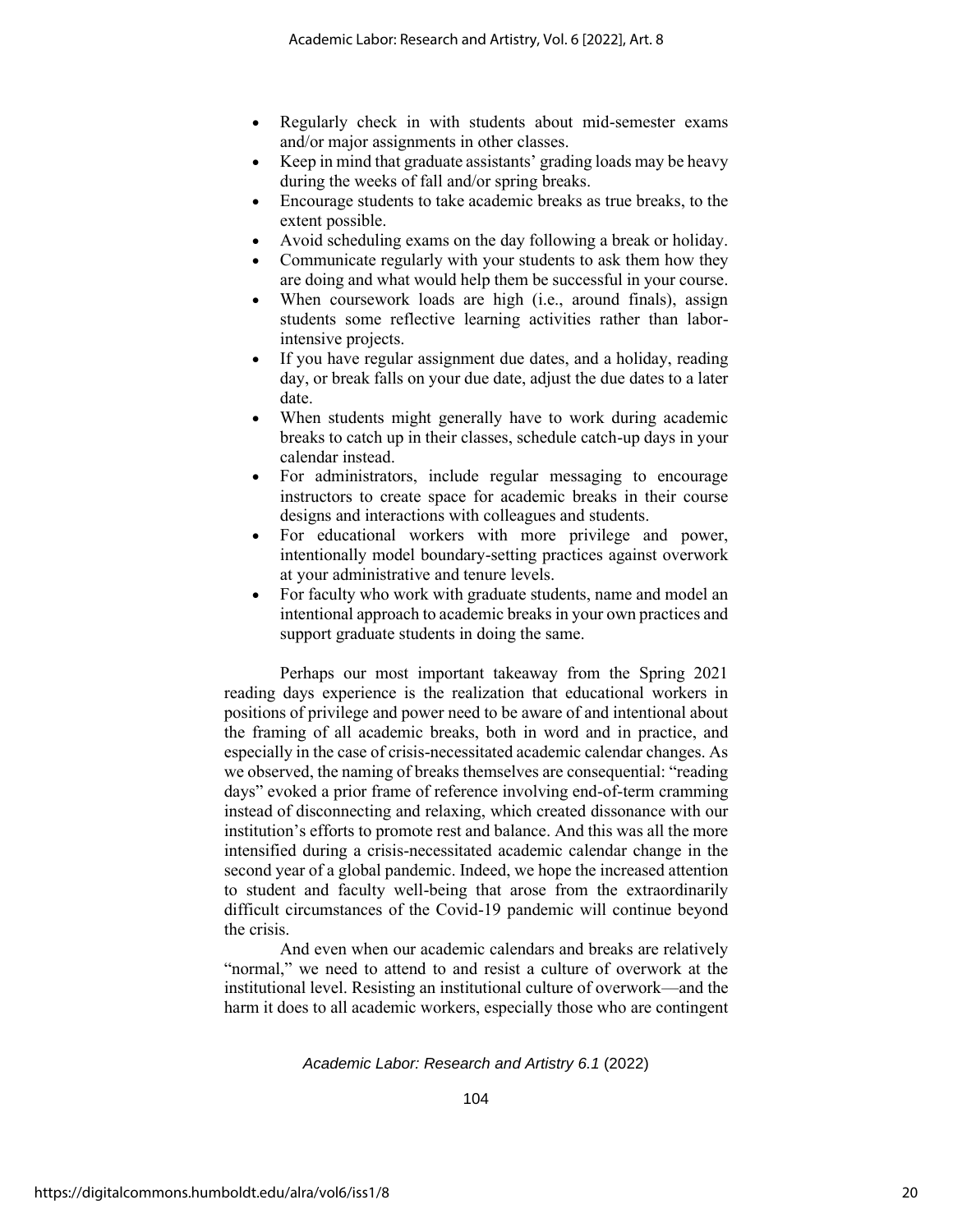- Regularly check in with students about mid-semester exams and/or major assignments in other classes.
- Keep in mind that graduate assistants' grading loads may be heavy during the weeks of fall and/or spring breaks.
- Encourage students to take academic breaks as true breaks, to the extent possible.
- Avoid scheduling exams on the day following a break or holiday.
- Communicate regularly with your students to ask them how they are doing and what would help them be successful in your course.
- When coursework loads are high (i.e., around finals), assign students some reflective learning activities rather than laborintensive projects.
- If you have regular assignment due dates, and a holiday, reading day, or break falls on your due date, adjust the due dates to a later date.
- When students might generally have to work during academic breaks to catch up in their classes, schedule catch-up days in your calendar instead.
- For administrators, include regular messaging to encourage instructors to create space for academic breaks in their course designs and interactions with colleagues and students.
- For educational workers with more privilege and power, intentionally model boundary-setting practices against overwork at your administrative and tenure levels.
- For faculty who work with graduate students, name and model an intentional approach to academic breaks in your own practices and support graduate students in doing the same.

Perhaps our most important takeaway from the Spring 2021 reading days experience is the realization that educational workers in positions of privilege and power need to be aware of and intentional about the framing of all academic breaks, both in word and in practice, and especially in the case of crisis-necessitated academic calendar changes. As we observed, the naming of breaks themselves are consequential: "reading days" evoked a prior frame of reference involving end-of-term cramming instead of disconnecting and relaxing, which created dissonance with our institution's efforts to promote rest and balance. And this was all the more intensified during a crisis-necessitated academic calendar change in the second year of a global pandemic. Indeed, we hope the increased attention to student and faculty well-being that arose from the extraordinarily difficult circumstances of the Covid-19 pandemic will continue beyond the crisis.

And even when our academic calendars and breaks are relatively "normal," we need to attend to and resist a culture of overwork at the institutional level. Resisting an institutional culture of overwork—and the harm it does to all academic workers, especially those who are contingent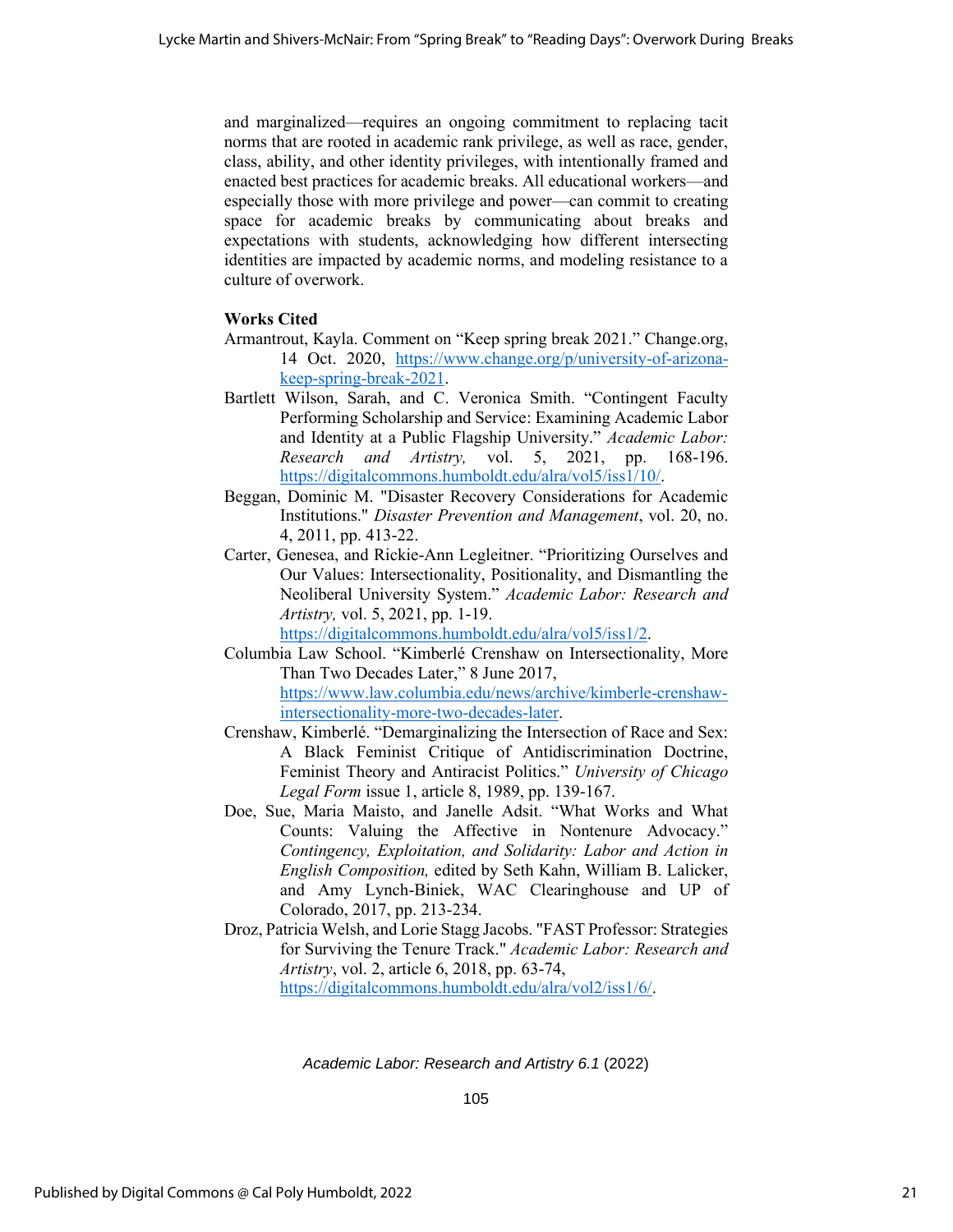and marginalized—requires an ongoing commitment to replacing tacit norms that are rooted in academic rank privilege, as well as race, gender, class, ability, and other identity privileges, with intentionally framed and enacted best practices for academic breaks. All educational workers—and especially those with more privilege and power—can commit to creating space for academic breaks by communicating about breaks and expectations with students, acknowledging how different intersecting identities are impacted by academic norms, and modeling resistance to a culture of overwork.

# **Works Cited**

- Armantrout, Kayla. Comment on "Keep spring break 2021." Change.org, 14 Oct. 2020, [https://www.change.org/p/university-of-arizona](https://www.change.org/p/university-of-arizona-keep-spring-break-2021)[keep-spring-break-2021.](https://www.change.org/p/university-of-arizona-keep-spring-break-2021)
- Bartlett Wilson, Sarah, and C. Veronica Smith. "Contingent Faculty Performing Scholarship and Service: Examining Academic Labor and Identity at a Public Flagship University." *Academic Labor: Research and Artistry,* vol. 5, 2021, pp. 168-196. [https://digitalcommons.humboldt.edu/alra/vol5/iss1/10/.](https://digitalcommons.humboldt.edu/alra/vol5/iss1/10/)
- Beggan, Dominic M. "Disaster Recovery Considerations for Academic Institutions." *Disaster Prevention and Management*, vol. 20, no. 4, 2011, pp. 413-22.
- Carter, Genesea, and Rickie-Ann Legleitner. "Prioritizing Ourselves and Our Values: Intersectionality, Positionality, and Dismantling the Neoliberal University System." *Academic Labor: Research and Artistry,* vol. 5, 2021, pp. 1-19.

[https://digitalcommons.humboldt.edu/alra/vol5/iss1/2.](https://digitalcommons.humboldt.edu/alra/vol5/iss1/2)

- Columbia Law School. "Kimberlé Crenshaw on Intersectionality, More Than Two Decades Later," 8 June 2017, [https://www.law.columbia.edu/news/archive/kimberle-crenshaw](https://www.law.columbia.edu/news/archive/kimberle-crenshaw-intersectionality-more-two-decades-later)[intersectionality-more-two-decades-later.](https://www.law.columbia.edu/news/archive/kimberle-crenshaw-intersectionality-more-two-decades-later)
- Crenshaw, Kimberlé. "Demarginalizing the Intersection of Race and Sex: A Black Feminist Critique of Antidiscrimination Doctrine, Feminist Theory and Antiracist Politics." *University of Chicago Legal Form* issue 1, article 8, 1989, pp. 139-167.
- Doe, Sue, Maria Maisto, and Janelle Adsit. "What Works and What Counts: Valuing the Affective in Nontenure Advocacy." *Contingency, Exploitation, and Solidarity: Labor and Action in English Composition,* edited by Seth Kahn, William B. Lalicker, and Amy Lynch-Biniek, WAC Clearinghouse and UP of Colorado, 2017, pp. 213-234.
- Droz, Patricia Welsh, and Lorie Stagg Jacobs. "FAST Professor: Strategies for Surviving the Tenure Track." *Academic Labor: Research and Artistry*, vol. 2, article 6, 2018, pp. 63-74,

[https://digitalcommons.humboldt.edu/alra/vol2/iss1/6/.](https://digitalcommons.humboldt.edu/alra/vol2/iss1/6/)